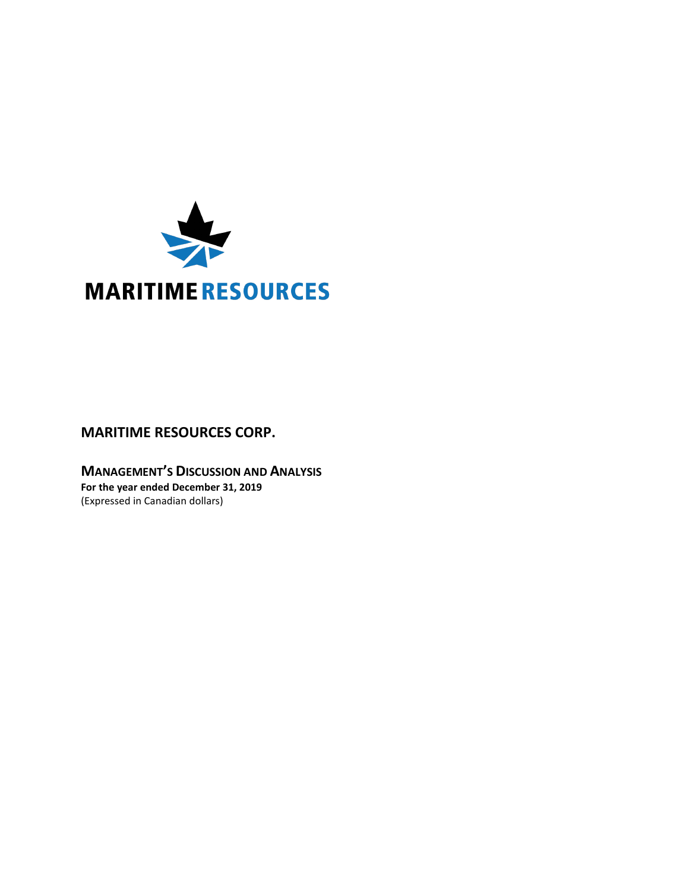

# **MARITIME RESOURCES CORP.**

**MANAGEMENT'S DISCUSSION AND ANALYSIS For the year ended December 31, 2019** (Expressed in Canadian dollars)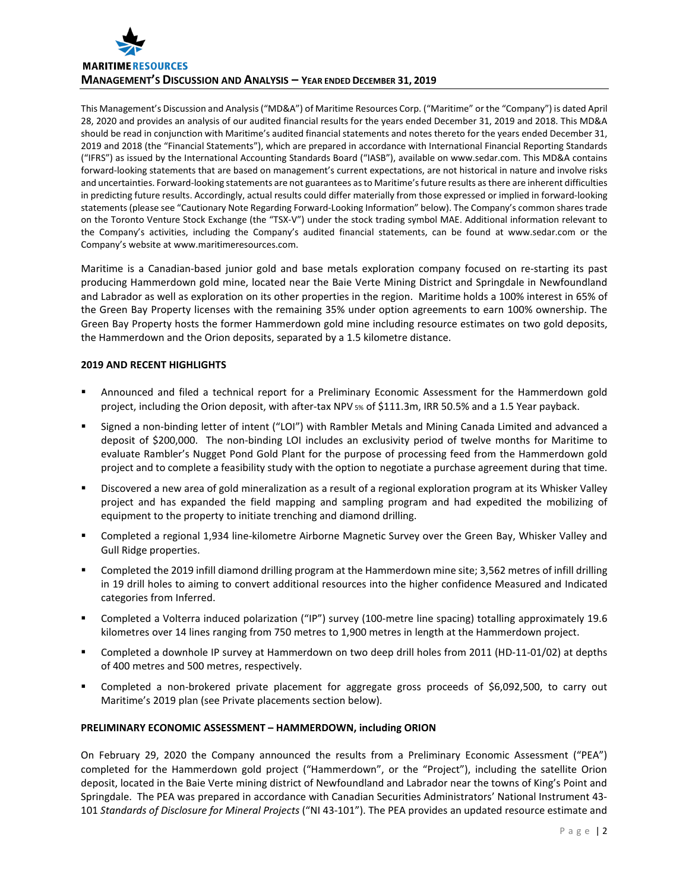

This Management's Discussion and Analysis ("MD&A") of Maritime Resources Corp. ("Maritime" or the "Company") is dated April 28, 2020 and provides an analysis of our audited financial results for the years ended December 31, 2019 and 2018. This MD&A should be read in conjunction with Maritime's audited financial statements and notes thereto for the years ended December 31, 2019 and 2018 (the "Financial Statements"), which are prepared in accordance with International Financial Reporting Standards ("IFRS") as issued by the International Accounting Standards Board ("IASB"), available on www.sedar.com. This MD&A contains forward-looking statements that are based on management's current expectations, are not historical in nature and involve risks and uncertainties. Forward-looking statements are not guarantees as to Maritime's future results as there are inherent difficulties in predicting future results. Accordingly, actual results could differ materially from those expressed or implied in forward-looking statements (please see "Cautionary Note Regarding Forward-Looking Information" below). The Company's common shares trade on the Toronto Venture Stock Exchange (the "TSX-V") under the stock trading symbol MAE. Additional information relevant to the Company's activities, including the Company's audited financial statements, can be found at www.sedar.com or the Company's website at www.maritimeresources.com.

Maritime is a Canadian-based junior gold and base metals exploration company focused on re-starting its past producing Hammerdown gold mine, located near the Baie Verte Mining District and Springdale in Newfoundland and Labrador as well as exploration on its other properties in the region. Maritime holds a 100% interest in 65% of the Green Bay Property licenses with the remaining 35% under option agreements to earn 100% ownership. The Green Bay Property hosts the former Hammerdown gold mine including resource estimates on two gold deposits, the Hammerdown and the Orion deposits, separated by a 1.5 kilometre distance.

# **2019 AND RECENT HIGHLIGHTS**

- Announced and filed a technical report for a Preliminary Economic Assessment for the Hammerdown gold project, including the Orion deposit, with after-tax NPV 5% of \$111.3m, IRR 50.5% and a 1.5 Year payback.
- Signed a non-binding letter of intent ("LOI") with Rambler Metals and Mining Canada Limited and advanced a deposit of \$200,000. The non-binding LOI includes an exclusivity period of twelve months for Maritime to evaluate Rambler's Nugget Pond Gold Plant for the purpose of processing feed from the Hammerdown gold project and to complete a feasibility study with the option to negotiate a purchase agreement during that time.
- Discovered a new area of gold mineralization as a result of a regional exploration program at its Whisker Valley project and has expanded the field mapping and sampling program and had expedited the mobilizing of equipment to the property to initiate trenching and diamond drilling.
- Completed a regional 1,934 line-kilometre Airborne Magnetic Survey over the Green Bay, Whisker Valley and Gull Ridge properties.
- Completed the 2019 infill diamond drilling program at the Hammerdown mine site; 3,562 metres of infill drilling in 19 drill holes to aiming to convert additional resources into the higher confidence Measured and Indicated categories from Inferred.
- Completed a Volterra induced polarization ("IP") survey (100-metre line spacing) totalling approximately 19.6 kilometres over 14 lines ranging from 750 metres to 1,900 metres in length at the Hammerdown project.
- Completed a downhole IP survey at Hammerdown on two deep drill holes from 2011 (HD-11-01/02) at depths of 400 metres and 500 metres, respectively.
- Completed a non-brokered private placement for aggregate gross proceeds of \$6,092,500, to carry out Maritime's 2019 plan (see Private placements section below).

## **PRELIMINARY ECONOMIC ASSESSMENT – HAMMERDOWN, including ORION**

On February 29, 2020 the Company announced the results from a Preliminary Economic Assessment ("PEA") completed for the Hammerdown gold project ("Hammerdown", or the "Project"), including the satellite Orion deposit, located in the Baie Verte mining district of Newfoundland and Labrador near the towns of King's Point and Springdale. The PEA was prepared in accordance with Canadian Securities Administrators' National Instrument 43- 101 *Standards of Disclosure for Mineral Projects* ("NI 43-101"). The PEA provides an updated resource estimate and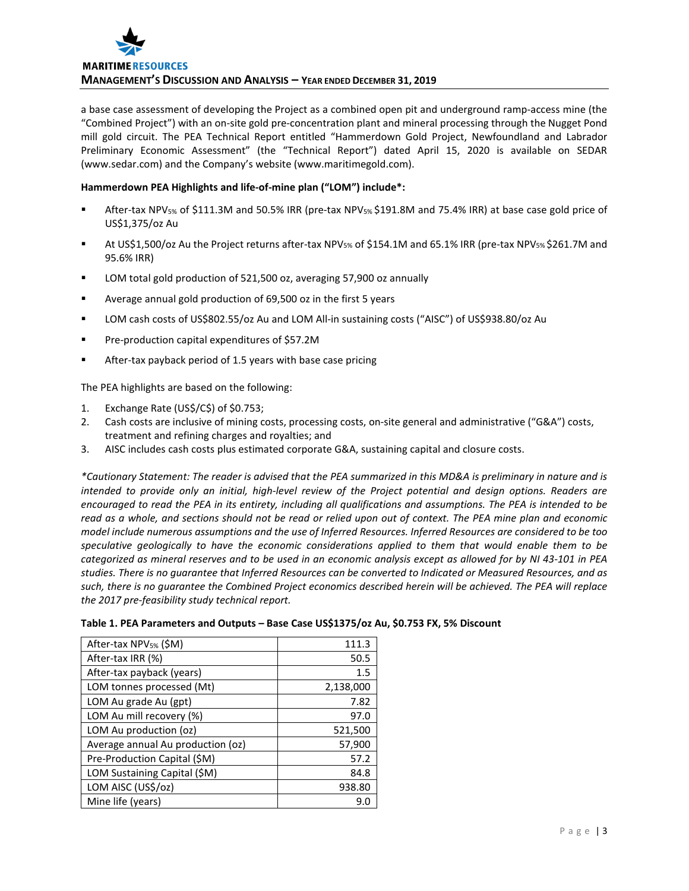

a base case assessment of developing the Project as a combined open pit and underground ramp-access mine (the "Combined Project") with an on-site gold pre-concentration plant and mineral processing through the Nugget Pond mill gold circuit. The PEA Technical Report entitled "Hammerdown Gold Project, Newfoundland and Labrador Preliminary Economic Assessment" (the "Technical Report") dated April 15, 2020 is available on SEDAR (www.sedar.com) and the Company's website (www.maritimegold.com).

## **Hammerdown PEA Highlights and life-of-mine plan ("LOM") include\*:**

- After-tax NPV<sub>5%</sub> of \$111.3M and 50.5% IRR (pre-tax NPV<sub>5%</sub> \$191.8M and 75.4% IRR) at base case gold price of US\$1,375/oz Au
- At US\$1,500/oz Au the Project returns after-tax NPV5% of \$154.1M and 65.1% IRR (pre-tax NPV5% \$261.7M and 95.6% IRR)
- **LOM total gold production of 521,500 oz, averaging 57,900 oz annually**
- Average annual gold production of 69,500 oz in the first 5 years
- LOM cash costs of US\$802.55/oz Au and LOM All-in sustaining costs ("AISC") of US\$938.80/oz Au
- Pre-production capital expenditures of \$57.2M
- After-tax payback period of 1.5 years with base case pricing

The PEA highlights are based on the following:

- 1. Exchange Rate (US\$/C\$) of \$0.753;
- 2. Cash costs are inclusive of mining costs, processing costs, on-site general and administrative ("G&A") costs, treatment and refining charges and royalties; and
- 3. AISC includes cash costs plus estimated corporate G&A, sustaining capital and closure costs.

*\*Cautionary Statement: The reader is advised that the PEA summarized in this MD&A is preliminary in nature and is intended to provide only an initial, high-level review of the Project potential and design options. Readers are encouraged to read the PEA in its entirety, including all qualifications and assumptions. The PEA is intended to be read as a whole, and sections should not be read or relied upon out of context. The PEA mine plan and economic model include numerous assumptions and the use of Inferred Resources. Inferred Resources are considered to be too speculative geologically to have the economic considerations applied to them that would enable them to be categorized as mineral reserves and to be used in an economic analysis except as allowed for by NI 43-101 in PEA studies. There is no guarantee that Inferred Resources can be converted to Indicated or Measured Resources, and as such, there is no guarantee the Combined Project economics described herein will be achieved. The PEA will replace the 2017 pre-feasibility study technical report.*

| After-tax NPV <sub>5%</sub> (\$M) | 111.3     |
|-----------------------------------|-----------|
| After-tax IRR (%)                 | 50.5      |
| After-tax payback (years)         | 1.5       |
| LOM tonnes processed (Mt)         | 2,138,000 |
| LOM Au grade Au (gpt)             | 7.82      |
| LOM Au mill recovery (%)          | 97.0      |
| LOM Au production (oz)            | 521,500   |
| Average annual Au production (oz) | 57,900    |
| Pre-Production Capital (\$M)      | 57.2      |
| LOM Sustaining Capital (\$M)      | 84.8      |
| LOM AISC (US\$/oz)                | 938.80    |
| Mine life (years)                 | 9.0       |

| Table 1. PEA Parameters and Outputs - Base Case US\$1375/oz Au, \$0.753 FX, 5% Discount |  |  |
|-----------------------------------------------------------------------------------------|--|--|
|-----------------------------------------------------------------------------------------|--|--|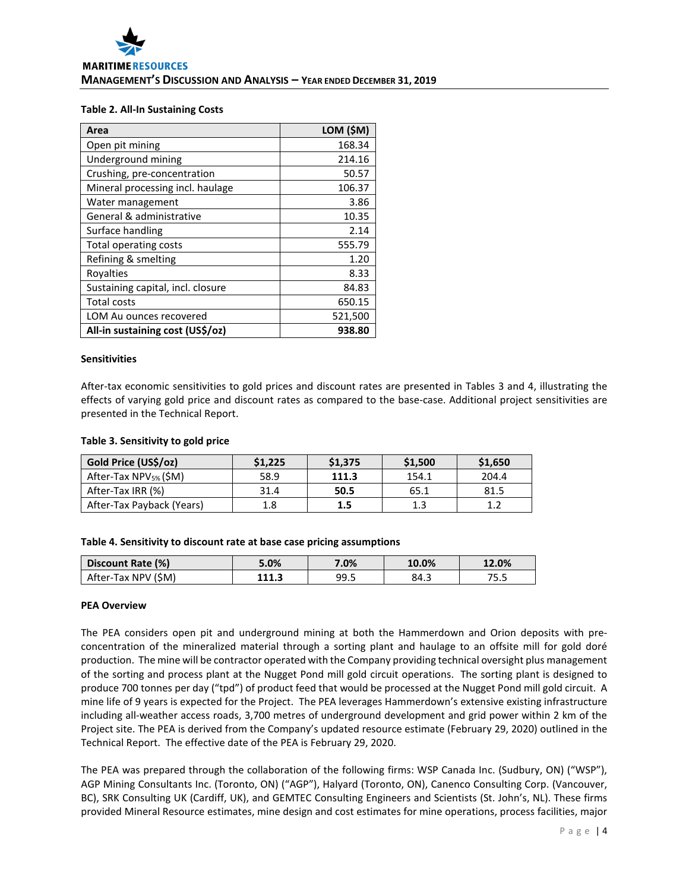## **Table 2. All-In Sustaining Costs**

| Area                              | LOM (\$M) |
|-----------------------------------|-----------|
| Open pit mining                   | 168.34    |
| Underground mining                | 214.16    |
| Crushing, pre-concentration       | 50.57     |
| Mineral processing incl. haulage  | 106.37    |
| Water management                  | 3.86      |
| General & administrative          | 10.35     |
| Surface handling                  | 2.14      |
| Total operating costs             | 555.79    |
| Refining & smelting               | 1.20      |
| Royalties                         | 8.33      |
| Sustaining capital, incl. closure | 84.83     |
| <b>Total costs</b>                | 650.15    |
| LOM Au ounces recovered           | 521,500   |
| All-in sustaining cost (US\$/oz)  | 938.80    |

#### **Sensitivities**

After-tax economic sensitivities to gold prices and discount rates are presented in Tables 3 and 4, illustrating the effects of varying gold price and discount rates as compared to the base-case. Additional project sensitivities are presented in the Technical Report.

#### **Table 3. Sensitivity to gold price**

| Gold Price (US\$/oz)              | \$1,225 | \$1,375 | \$1,500 | \$1,650 |
|-----------------------------------|---------|---------|---------|---------|
| After-Tax NPV <sub>5%</sub> (\$M) | 58.9    | 111.3   | 154.1   | 204.4   |
| After-Tax IRR (%)                 | 31.4    | 50.5    | 65.1    | 81.5    |
| After-Tax Payback (Years)         | 1.8     | 1.5     | 1.3     | 1ว      |

#### **Table 4. Sensitivity to discount rate at base case pricing assumptions**

| Discount Rate (%)   | 5.0%  | 7.0% | 10.0% | 12.0% |
|---------------------|-------|------|-------|-------|
| After-Tax NPV (\$M) | 111.3 | 99.5 | 84.3  | 75.5  |

#### **PEA Overview**

The PEA considers open pit and underground mining at both the Hammerdown and Orion deposits with preconcentration of the mineralized material through a sorting plant and haulage to an offsite mill for gold doré production. The mine will be contractor operated with the Company providing technical oversight plus management of the sorting and process plant at the Nugget Pond mill gold circuit operations. The sorting plant is designed to produce 700 tonnes per day ("tpd") of product feed that would be processed at the Nugget Pond mill gold circuit. A mine life of 9 years is expected for the Project. The PEA leverages Hammerdown's extensive existing infrastructure including all-weather access roads, 3,700 metres of underground development and grid power within 2 km of the Project site. The PEA is derived from the Company's updated resource estimate (February 29, 2020) outlined in the Technical Report. The effective date of the PEA is February 29, 2020.

The PEA was prepared through the collaboration of the following firms: WSP Canada Inc. (Sudbury, ON) ("WSP"), AGP Mining Consultants Inc. (Toronto, ON) ("AGP"), Halyard (Toronto, ON), Canenco Consulting Corp. (Vancouver, BC), SRK Consulting UK (Cardiff, UK), and GEMTEC Consulting Engineers and Scientists (St. John's, NL). These firms provided Mineral Resource estimates, mine design and cost estimates for mine operations, process facilities, major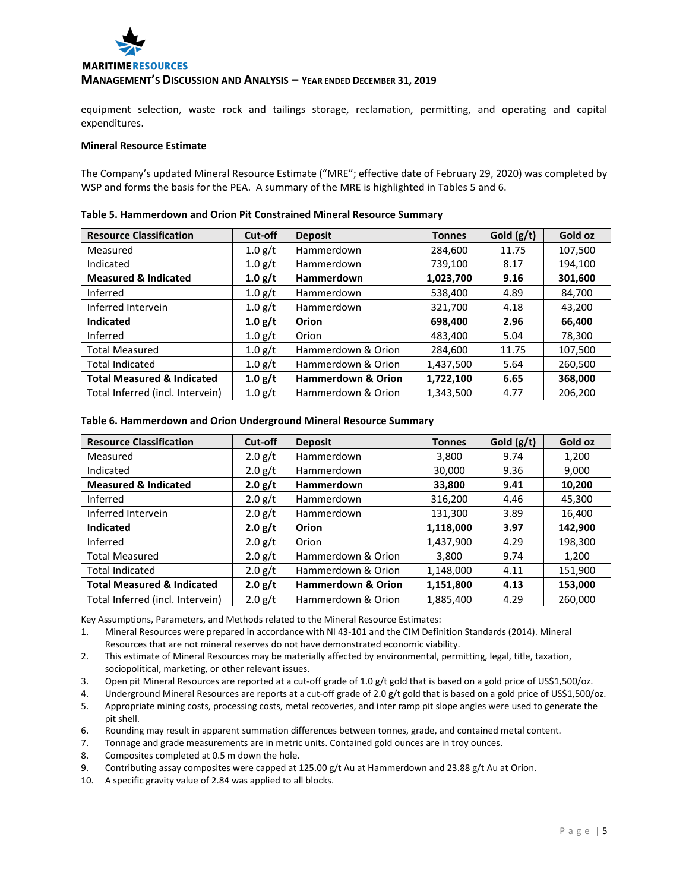

equipment selection, waste rock and tailings storage, reclamation, permitting, and operating and capital expenditures.

#### **Mineral Resource Estimate**

The Company's updated Mineral Resource Estimate ("MRE"; effective date of February 29, 2020) was completed by WSP and forms the basis for the PEA. A summary of the MRE is highlighted in Tables 5 and 6.

| <b>Resource Classification</b>        | Cut-off           | <b>Deposit</b>                | <b>Tonnes</b> | Gold (g/t) | Gold oz |
|---------------------------------------|-------------------|-------------------------------|---------------|------------|---------|
| Measured                              | 1.0 g/t           | Hammerdown                    | 284,600       | 11.75      | 107,500 |
| Indicated                             | $1.0$ g/t         | Hammerdown                    | 739,100       | 8.17       | 194,100 |
| <b>Measured &amp; Indicated</b>       | 1.0 g/t           | <b>Hammerdown</b>             | 1,023,700     | 9.16       | 301,600 |
| Inferred                              | $1.0$ g/t         | Hammerdown                    | 538,400       | 4.89       | 84,700  |
| Inferred Intervein                    | 1.0 g/t           | Hammerdown                    | 321,700       | 4.18       | 43,200  |
| <b>Indicated</b>                      | 1.0 g/t           | Orion                         | 698,400       | 2.96       | 66,400  |
| Inferred                              | 1.0 g/t           | Orion                         | 483,400       | 5.04       | 78,300  |
| <b>Total Measured</b>                 | 1.0 g/t           | Hammerdown & Orion            | 284,600       | 11.75      | 107,500 |
| <b>Total Indicated</b>                | $1.0$ g/t         | Hammerdown & Orion            | 1,437,500     | 5.64       | 260,500 |
| <b>Total Measured &amp; Indicated</b> | 1.0 g/t           | <b>Hammerdown &amp; Orion</b> | 1,722,100     | 6.65       | 368,000 |
| Total Inferred (incl. Intervein)      | $1.0 \text{ g/t}$ | Hammerdown & Orion            | 1,343,500     | 4.77       | 206,200 |

#### **Table 5. Hammerdown and Orion Pit Constrained Mineral Resource Summary**

#### **Table 6. Hammerdown and Orion Underground Mineral Resource Summary**

| <b>Resource Classification</b>        | Cut-off   | <b>Deposit</b>                | <b>Tonnes</b> | Gold $(g/t)$ | Gold oz |
|---------------------------------------|-----------|-------------------------------|---------------|--------------|---------|
| Measured                              | $2.0$ g/t | Hammerdown                    | 3,800         | 9.74         | 1,200   |
| Indicated                             | $2.0$ g/t | Hammerdown                    | 30,000        | 9.36         | 9,000   |
| <b>Measured &amp; Indicated</b>       | 2.0 g/t   | <b>Hammerdown</b>             | 33,800        | 9.41         | 10,200  |
| Inferred                              | 2.0 g/t   | Hammerdown                    | 316,200       | 4.46         | 45,300  |
| Inferred Intervein                    | $2.0$ g/t | Hammerdown                    | 131,300       | 3.89         | 16,400  |
| Indicated                             | 2.0 g/t   | Orion                         | 1,118,000     | 3.97         | 142,900 |
| Inferred                              | 2.0 g/t   | Orion                         | 1,437,900     | 4.29         | 198,300 |
| <b>Total Measured</b>                 | $2.0$ g/t | Hammerdown & Orion            | 3,800         | 9.74         | 1,200   |
| <b>Total Indicated</b>                | $2.0$ g/t | Hammerdown & Orion            | 1,148,000     | 4.11         | 151,900 |
| <b>Total Measured &amp; Indicated</b> | 2.0 g/t   | <b>Hammerdown &amp; Orion</b> | 1,151,800     | 4.13         | 153,000 |
| Total Inferred (incl. Intervein)      | $2.0$ g/t | Hammerdown & Orion            | 1,885,400     | 4.29         | 260,000 |

Key Assumptions, Parameters, and Methods related to the Mineral Resource Estimates:

- 1. Mineral Resources were prepared in accordance with NI 43-101 and the CIM Definition Standards (2014). Mineral Resources that are not mineral reserves do not have demonstrated economic viability.
- 2. This estimate of Mineral Resources may be materially affected by environmental, permitting, legal, title, taxation, sociopolitical, marketing, or other relevant issues.
- 3. Open pit Mineral Resources are reported at a cut-off grade of 1.0 g/t gold that is based on a gold price of US\$1,500/oz.
- 4. Underground Mineral Resources are reports at a cut-off grade of 2.0 g/t gold that is based on a gold price of US\$1,500/oz.
- 5. Appropriate mining costs, processing costs, metal recoveries, and inter ramp pit slope angles were used to generate the pit shell.
- 6. Rounding may result in apparent summation differences between tonnes, grade, and contained metal content.
- 7. Tonnage and grade measurements are in metric units. Contained gold ounces are in troy ounces.
- 8. Composites completed at 0.5 m down the hole.
- 9. Contributing assay composites were capped at 125.00 g/t Au at Hammerdown and 23.88 g/t Au at Orion.
- 10. A specific gravity value of 2.84 was applied to all blocks.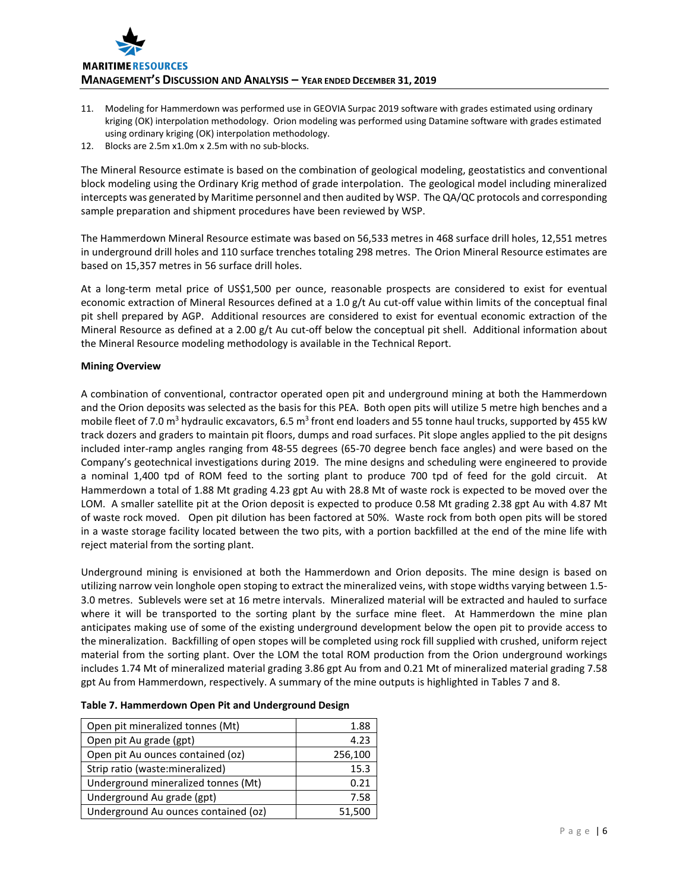

- 11. Modeling for Hammerdown was performed use in GEOVIA Surpac 2019 software with grades estimated using ordinary kriging (OK) interpolation methodology. Orion modeling was performed using Datamine software with grades estimated using ordinary kriging (OK) interpolation methodology.
- 12. Blocks are 2.5m x1.0m x 2.5m with no sub-blocks.

The Mineral Resource estimate is based on the combination of geological modeling, geostatistics and conventional block modeling using the Ordinary Krig method of grade interpolation. The geological model including mineralized intercepts was generated by Maritime personnel and then audited by WSP. The QA/QC protocols and corresponding sample preparation and shipment procedures have been reviewed by WSP.

The Hammerdown Mineral Resource estimate was based on 56,533 metres in 468 surface drill holes, 12,551 metres in underground drill holes and 110 surface trenches totaling 298 metres. The Orion Mineral Resource estimates are based on 15,357 metres in 56 surface drill holes.

At a long-term metal price of US\$1,500 per ounce, reasonable prospects are considered to exist for eventual economic extraction of Mineral Resources defined at a 1.0 g/t Au cut-off value within limits of the conceptual final pit shell prepared by AGP. Additional resources are considered to exist for eventual economic extraction of the Mineral Resource as defined at a 2.00 g/t Au cut-off below the conceptual pit shell. Additional information about the Mineral Resource modeling methodology is available in the Technical Report.

# **Mining Overview**

A combination of conventional, contractor operated open pit and underground mining at both the Hammerdown and the Orion deposits was selected as the basis for this PEA. Both open pits will utilize 5 metre high benches and a mobile fleet of 7.0 m<sup>3</sup> hydraulic excavators, 6.5 m<sup>3</sup> front end loaders and 55 tonne haul trucks, supported by 455 kW track dozers and graders to maintain pit floors, dumps and road surfaces. Pit slope angles applied to the pit designs included inter-ramp angles ranging from 48-55 degrees (65-70 degree bench face angles) and were based on the Company's geotechnical investigations during 2019. The mine designs and scheduling were engineered to provide a nominal 1,400 tpd of ROM feed to the sorting plant to produce 700 tpd of feed for the gold circuit. At Hammerdown a total of 1.88 Mt grading 4.23 gpt Au with 28.8 Mt of waste rock is expected to be moved over the LOM. A smaller satellite pit at the Orion deposit is expected to produce 0.58 Mt grading 2.38 gpt Au with 4.87 Mt of waste rock moved. Open pit dilution has been factored at 50%. Waste rock from both open pits will be stored in a waste storage facility located between the two pits, with a portion backfilled at the end of the mine life with reject material from the sorting plant.

Underground mining is envisioned at both the Hammerdown and Orion deposits. The mine design is based on utilizing narrow vein longhole open stoping to extract the mineralized veins, with stope widths varying between 1.5- 3.0 metres. Sublevels were set at 16 metre intervals. Mineralized material will be extracted and hauled to surface where it will be transported to the sorting plant by the surface mine fleet. At Hammerdown the mine plan anticipates making use of some of the existing underground development below the open pit to provide access to the mineralization. Backfilling of open stopes will be completed using rock fill supplied with crushed, uniform reject material from the sorting plant. Over the LOM the total ROM production from the Orion underground workings includes 1.74 Mt of mineralized material grading 3.86 gpt Au from and 0.21 Mt of mineralized material grading 7.58 gpt Au from Hammerdown, respectively. A summary of the mine outputs is highlighted in Tables 7 and 8.

| Open pit mineralized tonnes (Mt)     | 1.88    |
|--------------------------------------|---------|
| Open pit Au grade (gpt)              | 4.23    |
| Open pit Au ounces contained (oz)    | 256,100 |
| Strip ratio (waste: mineralized)     | 15.3    |
| Underground mineralized tonnes (Mt)  | 0.21    |
| Underground Au grade (gpt)           | 7.58    |
| Underground Au ounces contained (oz) | 51,500  |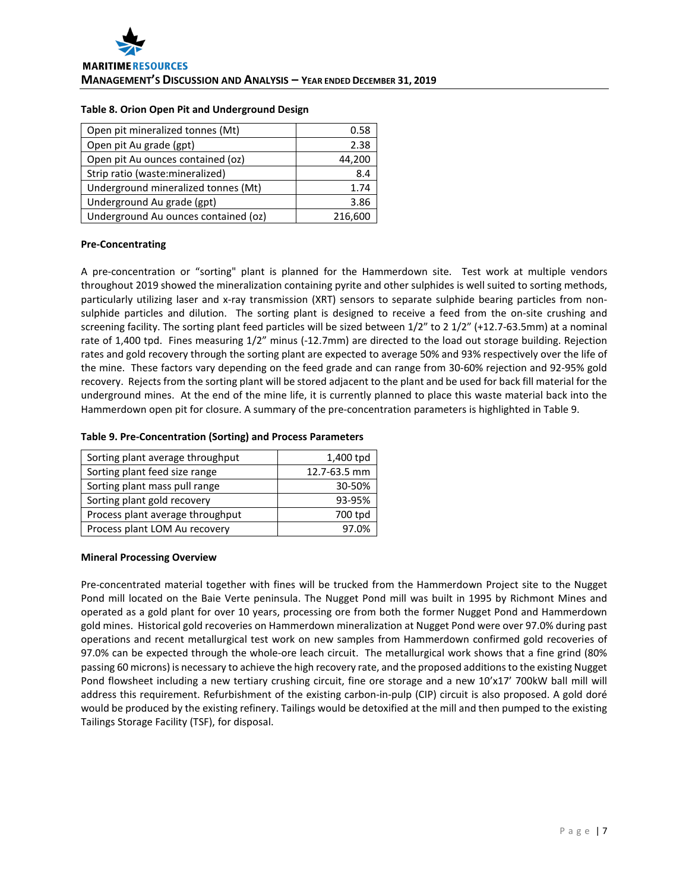#### **Table 8. Orion Open Pit and Underground Design**

| Open pit mineralized tonnes (Mt)     | 0.58    |
|--------------------------------------|---------|
| Open pit Au grade (gpt)              | 2.38    |
| Open pit Au ounces contained (oz)    | 44,200  |
| Strip ratio (waste: mineralized)     | 8.4     |
| Underground mineralized tonnes (Mt)  | 1.74    |
| Underground Au grade (gpt)           | 3.86    |
| Underground Au ounces contained (oz) | 216,600 |

## **Pre-Concentrating**

A pre-concentration or "sorting" plant is planned for the Hammerdown site. Test work at multiple vendors throughout 2019 showed the mineralization containing pyrite and other sulphides is well suited to sorting methods, particularly utilizing laser and x-ray transmission (XRT) sensors to separate sulphide bearing particles from nonsulphide particles and dilution. The sorting plant is designed to receive a feed from the on-site crushing and screening facility. The sorting plant feed particles will be sized between 1/2" to 2 1/2" (+12.7-63.5mm) at a nominal rate of 1,400 tpd. Fines measuring 1/2" minus (-12.7mm) are directed to the load out storage building. Rejection rates and gold recovery through the sorting plant are expected to average 50% and 93% respectively over the life of the mine. These factors vary depending on the feed grade and can range from 30-60% rejection and 92-95% gold recovery. Rejects from the sorting plant will be stored adjacent to the plant and be used for back fill material for the underground mines. At the end of the mine life, it is currently planned to place this waste material back into the Hammerdown open pit for closure. A summary of the pre-concentration parameters is highlighted in Table 9.

## **Table 9. Pre-Concentration (Sorting) and Process Parameters**

| Sorting plant average throughput | 1,400 tpd    |
|----------------------------------|--------------|
| Sorting plant feed size range    | 12.7-63.5 mm |
| Sorting plant mass pull range    | 30-50%       |
| Sorting plant gold recovery      | 93-95%       |
| Process plant average throughput | 700 tpd      |
| Process plant LOM Au recovery    | 7.0%         |

## **Mineral Processing Overview**

Pre-concentrated material together with fines will be trucked from the Hammerdown Project site to the Nugget Pond mill located on the Baie Verte peninsula. The Nugget Pond mill was built in 1995 by Richmont Mines and operated as a gold plant for over 10 years, processing ore from both the former Nugget Pond and Hammerdown gold mines. Historical gold recoveries on Hammerdown mineralization at Nugget Pond were over 97.0% during past operations and recent metallurgical test work on new samples from Hammerdown confirmed gold recoveries of 97.0% can be expected through the whole-ore leach circuit. The metallurgical work shows that a fine grind (80% passing 60 microns) is necessary to achieve the high recovery rate, and the proposed additions to the existing Nugget Pond flowsheet including a new tertiary crushing circuit, fine ore storage and a new 10'x17' 700kW ball mill will address this requirement. Refurbishment of the existing carbon-in-pulp (CIP) circuit is also proposed. A gold doré would be produced by the existing refinery. Tailings would be detoxified at the mill and then pumped to the existing Tailings Storage Facility (TSF), for disposal.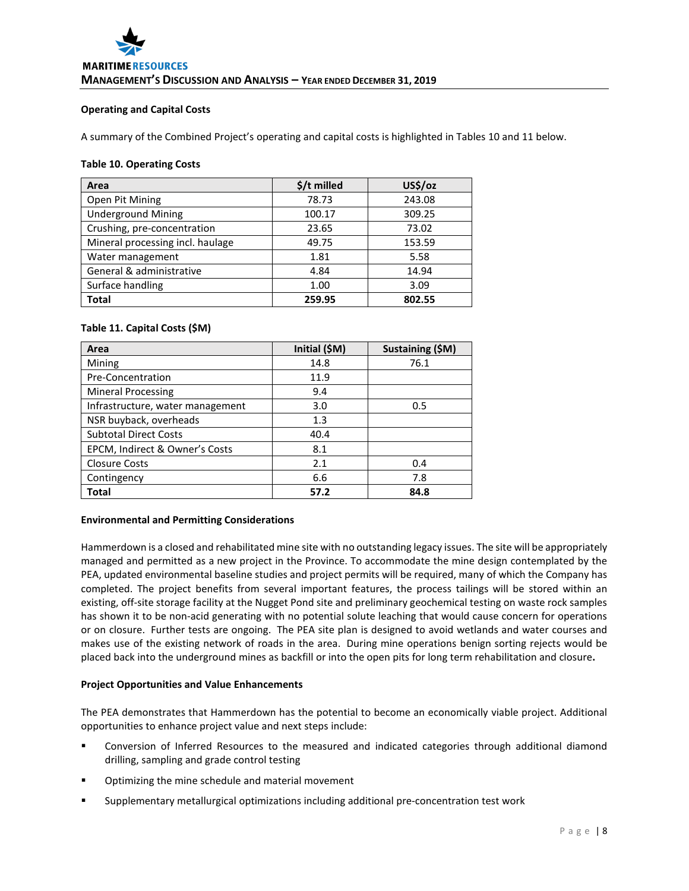## **Operating and Capital Costs**

A summary of the Combined Project's operating and capital costs is highlighted in Tables 10 and 11 below.

## **Table 10. Operating Costs**

| Area                             | $$/t$ milled | US\$/oz |
|----------------------------------|--------------|---------|
| Open Pit Mining                  | 78.73        | 243.08  |
| <b>Underground Mining</b>        | 100.17       | 309.25  |
| Crushing, pre-concentration      | 23.65        | 73.02   |
| Mineral processing incl. haulage | 49.75        | 153.59  |
| Water management                 | 1.81         | 5.58    |
| General & administrative         | 4.84         | 14.94   |
| Surface handling                 | 1.00         | 3.09    |
| <b>Total</b>                     | 259.95       | 802.55  |

# **Table 11. Capital Costs (\$M)**

| Area                             | Initial (\$M) | Sustaining (\$M) |
|----------------------------------|---------------|------------------|
| Mining                           | 14.8          | 76.1             |
| Pre-Concentration                | 11.9          |                  |
| <b>Mineral Processing</b>        | 9.4           |                  |
| Infrastructure, water management | 3.0           | 0.5              |
| NSR buyback, overheads           | 1.3           |                  |
| <b>Subtotal Direct Costs</b>     | 40.4          |                  |
| EPCM, Indirect & Owner's Costs   | 8.1           |                  |
| <b>Closure Costs</b>             | 2.1           | 0.4              |
| Contingency                      | 6.6           | 7.8              |
| Total                            | 57.2          | 84.8             |

# **Environmental and Permitting Considerations**

Hammerdown is a closed and rehabilitated mine site with no outstanding legacy issues. The site will be appropriately managed and permitted as a new project in the Province. To accommodate the mine design contemplated by the PEA, updated environmental baseline studies and project permits will be required, many of which the Company has completed. The project benefits from several important features, the process tailings will be stored within an existing, off-site storage facility at the Nugget Pond site and preliminary geochemical testing on waste rock samples has shown it to be non-acid generating with no potential solute leaching that would cause concern for operations or on closure. Further tests are ongoing. The PEA site plan is designed to avoid wetlands and water courses and makes use of the existing network of roads in the area. During mine operations benign sorting rejects would be placed back into the underground mines as backfill or into the open pits for long term rehabilitation and closure**.** 

# **Project Opportunities and Value Enhancements**

The PEA demonstrates that Hammerdown has the potential to become an economically viable project. Additional opportunities to enhance project value and next steps include:

- Conversion of Inferred Resources to the measured and indicated categories through additional diamond drilling, sampling and grade control testing
- Optimizing the mine schedule and material movement
- Supplementary metallurgical optimizations including additional pre-concentration test work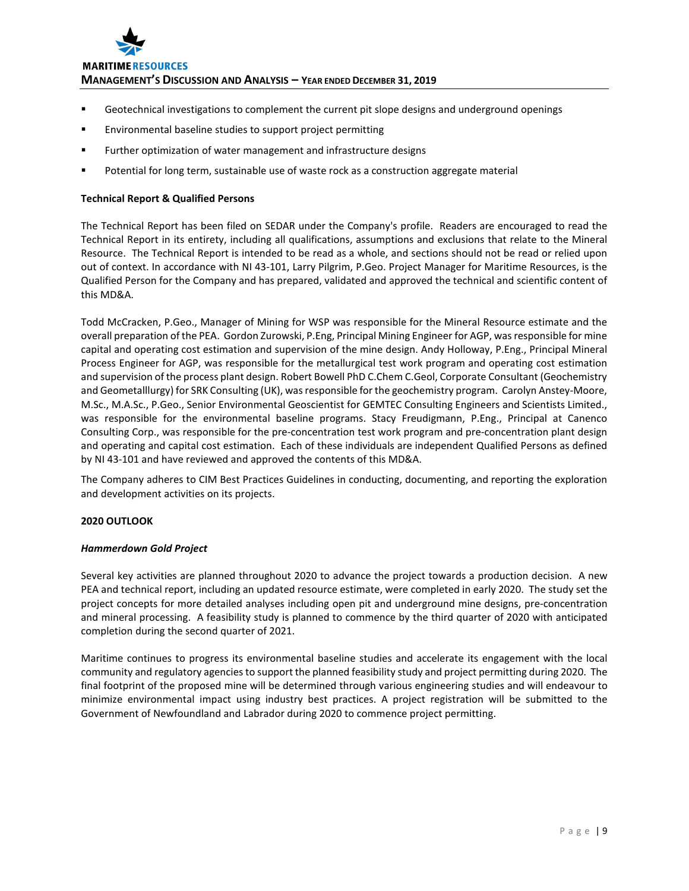

**MANAGEMENT'S DISCUSSION AND ANALYSIS – YEAR ENDED DECEMBER 31, 2019**

- Geotechnical investigations to complement the current pit slope designs and underground openings
- Environmental baseline studies to support project permitting
- **Further optimization of water management and infrastructure designs**
- Potential for long term, sustainable use of waste rock as a construction aggregate material

## **Technical Report & Qualified Persons**

The Technical Report has been filed on SEDAR under the Company's profile. Readers are encouraged to read the Technical Report in its entirety, including all qualifications, assumptions and exclusions that relate to the Mineral Resource. The Technical Report is intended to be read as a whole, and sections should not be read or relied upon out of context. In accordance with NI 43-101, Larry Pilgrim, P.Geo. Project Manager for Maritime Resources, is the Qualified Person for the Company and has prepared, validated and approved the technical and scientific content of this MD&A.

Todd McCracken, P.Geo., Manager of Mining for WSP was responsible for the Mineral Resource estimate and the overall preparation of the PEA. Gordon Zurowski, P.Eng, Principal Mining Engineer for AGP, wasresponsible for mine capital and operating cost estimation and supervision of the mine design. Andy Holloway, P.Eng., Principal Mineral Process Engineer for AGP, was responsible for the metallurgical test work program and operating cost estimation and supervision of the process plant design. Robert Bowell PhD C.Chem C.Geol, Corporate Consultant (Geochemistry and Geometalllurgy) for SRK Consulting (UK), was responsible for the geochemistry program. Carolyn Anstey-Moore, M.Sc., M.A.Sc., P.Geo., Senior Environmental Geoscientist for GEMTEC Consulting Engineers and Scientists Limited., was responsible for the environmental baseline programs. Stacy Freudigmann, P.Eng., Principal at Canenco Consulting Corp., was responsible for the pre-concentration test work program and pre-concentration plant design and operating and capital cost estimation. Each of these individuals are independent Qualified Persons as defined by NI 43-101 and have reviewed and approved the contents of this MD&A.

The Company adheres to CIM Best Practices Guidelines in conducting, documenting, and reporting the exploration and development activities on its projects.

# **2020 OUTLOOK**

## *Hammerdown Gold Project*

Several key activities are planned throughout 2020 to advance the project towards a production decision. A new PEA and technical report, including an updated resource estimate, were completed in early 2020. The study set the project concepts for more detailed analyses including open pit and underground mine designs, pre-concentration and mineral processing. A feasibility study is planned to commence by the third quarter of 2020 with anticipated completion during the second quarter of 2021.

Maritime continues to progress its environmental baseline studies and accelerate its engagement with the local community and regulatory agencies to support the planned feasibility study and project permitting during 2020. The final footprint of the proposed mine will be determined through various engineering studies and will endeavour to minimize environmental impact using industry best practices. A project registration will be submitted to the Government of Newfoundland and Labrador during 2020 to commence project permitting.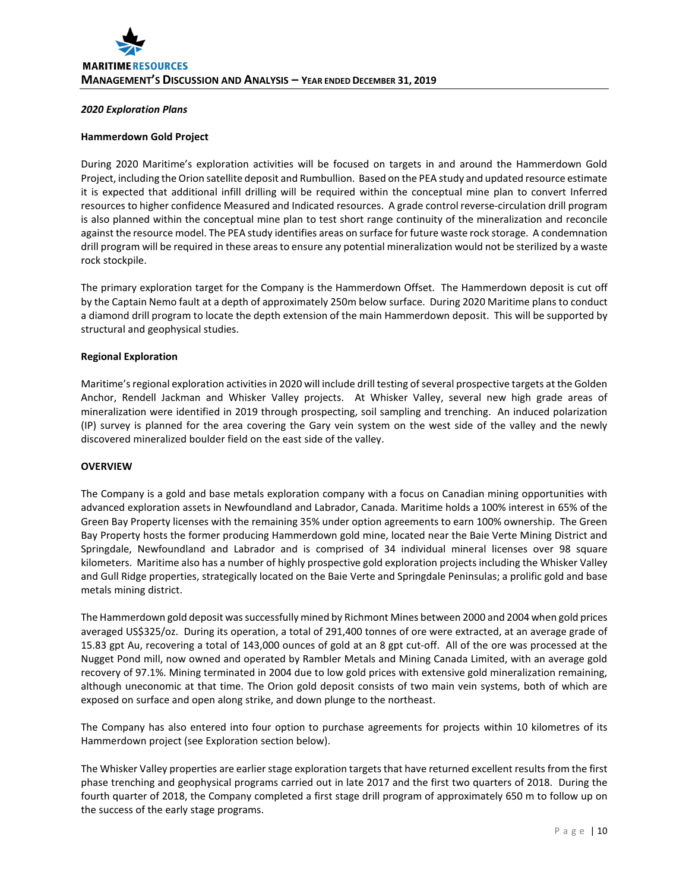## *2020 Exploration Plans*

#### **Hammerdown Gold Project**

During 2020 Maritime's exploration activities will be focused on targets in and around the Hammerdown Gold Project, including the Orion satellite deposit and Rumbullion. Based on the PEA study and updated resource estimate it is expected that additional infill drilling will be required within the conceptual mine plan to convert Inferred resources to higher confidence Measured and Indicated resources. A grade control reverse-circulation drill program is also planned within the conceptual mine plan to test short range continuity of the mineralization and reconcile against the resource model. The PEA study identifies areas on surface for future waste rock storage. A condemnation drill program will be required in these areas to ensure any potential mineralization would not be sterilized by a waste rock stockpile.

The primary exploration target for the Company is the Hammerdown Offset. The Hammerdown deposit is cut off by the Captain Nemo fault at a depth of approximately 250m below surface. During 2020 Maritime plans to conduct a diamond drill program to locate the depth extension of the main Hammerdown deposit. This will be supported by structural and geophysical studies.

#### **Regional Exploration**

Maritime's regional exploration activities in 2020 will include drill testing of several prospective targets at the Golden Anchor, Rendell Jackman and Whisker Valley projects. At Whisker Valley, several new high grade areas of mineralization were identified in 2019 through prospecting, soil sampling and trenching. An induced polarization (IP) survey is planned for the area covering the Gary vein system on the west side of the valley and the newly discovered mineralized boulder field on the east side of the valley.

#### **OVERVIEW**

The Company is a gold and base metals exploration company with a focus on Canadian mining opportunities with advanced exploration assets in Newfoundland and Labrador, Canada. Maritime holds a 100% interest in 65% of the Green Bay Property licenses with the remaining 35% under option agreements to earn 100% ownership. The Green Bay Property hosts the former producing Hammerdown gold mine, located near the Baie Verte Mining District and Springdale, Newfoundland and Labrador and is comprised of 34 individual mineral licenses over 98 square kilometers. Maritime also has a number of highly prospective gold exploration projects including the Whisker Valley and Gull Ridge properties, strategically located on the Baie Verte and Springdale Peninsulas; a prolific gold and base metals mining district.

The Hammerdown gold deposit was successfully mined by Richmont Mines between 2000 and 2004 when gold prices averaged US\$325/oz. During its operation, a total of 291,400 tonnes of ore were extracted, at an average grade of 15.83 gpt Au, recovering a total of 143,000 ounces of gold at an 8 gpt cut-off. All of the ore was processed at the Nugget Pond mill, now owned and operated by Rambler Metals and Mining Canada Limited, with an average gold recovery of 97.1%. Mining terminated in 2004 due to low gold prices with extensive gold mineralization remaining, although uneconomic at that time. The Orion gold deposit consists of two main vein systems, both of which are exposed on surface and open along strike, and down plunge to the northeast.

The Company has also entered into four option to purchase agreements for projects within 10 kilometres of its Hammerdown project (see Exploration section below).

The Whisker Valley properties are earlier stage exploration targets that have returned excellent results from the first phase trenching and geophysical programs carried out in late 2017 and the first two quarters of 2018. During the fourth quarter of 2018, the Company completed a first stage drill program of approximately 650 m to follow up on the success of the early stage programs.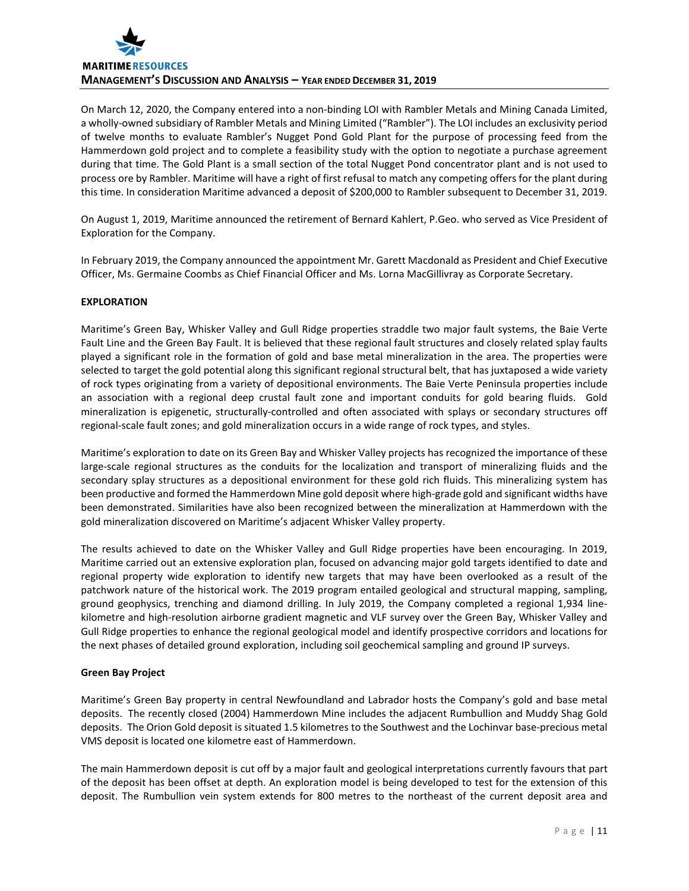

On March 12, 2020, the Company entered into a non-binding LOI with Rambler Metals and Mining Canada Limited, a wholly-owned subsidiary of Rambler Metals and Mining Limited ("Rambler"). The LOI includes an exclusivity period of twelve months to evaluate Rambler's Nugget Pond Gold Plant for the purpose of processing feed from the Hammerdown gold project and to complete a feasibility study with the option to negotiate a purchase agreement during that time. The Gold Plant is a small section of the total Nugget Pond concentrator plant and is not used to process ore by Rambler. Maritime will have a right of first refusal to match any competing offers for the plant during this time. In consideration Maritime advanced a deposit of \$200,000 to Rambler subsequent to December 31, 2019.

On August 1, 2019, Maritime announced the retirement of Bernard Kahlert, P.Geo. who served as Vice President of Exploration for the Company.

In February 2019, the Company announced the appointment Mr. Garett Macdonald as President and Chief Executive Officer, Ms. Germaine Coombs as Chief Financial Officer and Ms. Lorna MacGillivray as Corporate Secretary.

## **EXPLORATION**

Maritime's Green Bay, Whisker Valley and Gull Ridge properties straddle two major fault systems, the Baie Verte Fault Line and the Green Bay Fault. It is believed that these regional fault structures and closely related splay faults played a significant role in the formation of gold and base metal mineralization in the area. The properties were selected to target the gold potential along this significant regional structural belt, that has juxtaposed a wide variety of rock types originating from a variety of depositional environments. The Baie Verte Peninsula properties include an association with a regional deep crustal fault zone and important conduits for gold bearing fluids. Gold mineralization is epigenetic, structurally-controlled and often associated with splays or secondary structures off regional-scale fault zones; and gold mineralization occurs in a wide range of rock types, and styles.

Maritime's exploration to date on its Green Bay and Whisker Valley projects has recognized the importance of these large-scale regional structures as the conduits for the localization and transport of mineralizing fluids and the secondary splay structures as a depositional environment for these gold rich fluids. This mineralizing system has been productive and formed the Hammerdown Mine gold deposit where high-grade gold and significant widths have been demonstrated. Similarities have also been recognized between the mineralization at Hammerdown with the gold mineralization discovered on Maritime's adjacent Whisker Valley property.

The results achieved to date on the Whisker Valley and Gull Ridge properties have been encouraging. In 2019, Maritime carried out an extensive exploration plan, focused on advancing major gold targets identified to date and regional property wide exploration to identify new targets that may have been overlooked as a result of the patchwork nature of the historical work. The 2019 program entailed geological and structural mapping, sampling, ground geophysics, trenching and diamond drilling. In July 2019, the Company completed a regional 1,934 linekilometre and high-resolution airborne gradient magnetic and VLF survey over the Green Bay, Whisker Valley and Gull Ridge properties to enhance the regional geological model and identify prospective corridors and locations for the next phases of detailed ground exploration, including soil geochemical sampling and ground IP surveys.

## **Green Bay Project**

Maritime's Green Bay property in central Newfoundland and Labrador hosts the Company's gold and base metal deposits. The recently closed (2004) Hammerdown Mine includes the adjacent Rumbullion and Muddy Shag Gold deposits. The Orion Gold deposit is situated 1.5 kilometres to the Southwest and the Lochinvar base-precious metal VMS deposit is located one kilometre east of Hammerdown.

The main Hammerdown deposit is cut off by a major fault and geological interpretations currently favours that part of the deposit has been offset at depth. An exploration model is being developed to test for the extension of this deposit. The Rumbullion vein system extends for 800 metres to the northeast of the current deposit area and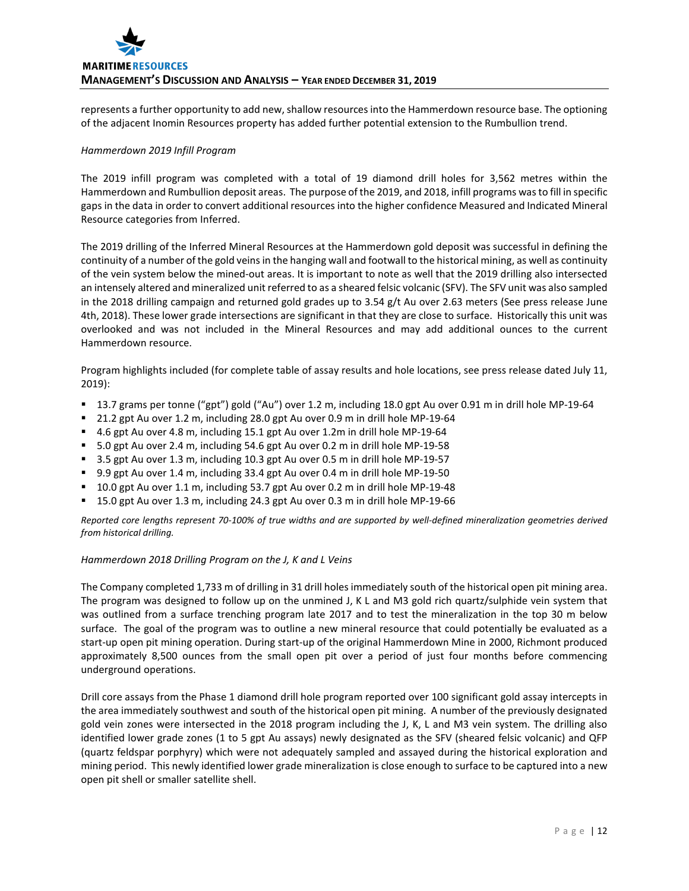represents a further opportunity to add new, shallow resources into the Hammerdown resource base. The optioning of the adjacent Inomin Resources property has added further potential extension to the Rumbullion trend.

# *Hammerdown 2019 Infill Program*

The 2019 infill program was completed with a total of 19 diamond drill holes for 3,562 metres within the Hammerdown and Rumbullion deposit areas. The purpose of the 2019, and 2018, infill programs was to fill in specific gaps in the data in order to convert additional resources into the higher confidence Measured and Indicated Mineral Resource categories from Inferred.

The 2019 drilling of the Inferred Mineral Resources at the Hammerdown gold deposit was successful in defining the continuity of a number of the gold veins in the hanging wall and footwall to the historical mining, as well as continuity of the vein system below the mined-out areas. It is important to note as well that the 2019 drilling also intersected an intensely altered and mineralized unit referred to as a sheared felsic volcanic (SFV). The SFV unit was also sampled in the 2018 drilling campaign and returned gold grades up to 3.54 g/t Au over 2.63 meters (See press release June 4th, 2018). These lower grade intersections are significant in that they are close to surface. Historically this unit was overlooked and was not included in the Mineral Resources and may add additional ounces to the current Hammerdown resource.

Program highlights included (for complete table of assay results and hole locations, see press release dated July 11, 2019):

- 13.7 grams per tonne ("gpt") gold ("Au") over 1.2 m, including 18.0 gpt Au over 0.91 m in drill hole MP-19-64
- 21.2 gpt Au over 1.2 m, including 28.0 gpt Au over 0.9 m in drill hole MP-19-64
- 4.6 gpt Au over 4.8 m, including 15.1 gpt Au over 1.2m in drill hole MP-19-64
- 5.0 gpt Au over 2.4 m, including 54.6 gpt Au over 0.2 m in drill hole MP-19-58
- 3.5 gpt Au over 1.3 m, including 10.3 gpt Au over 0.5 m in drill hole MP-19-57
- 9.9 gpt Au over 1.4 m, including 33.4 gpt Au over 0.4 m in drill hole MP-19-50
- <sup>1</sup> 10.0 gpt Au over 1.1 m, including 53.7 gpt Au over 0.2 m in drill hole MP-19-48
- 15.0 gpt Au over 1.3 m, including 24.3 gpt Au over 0.3 m in drill hole MP-19-66

*Reported core lengths represent 70-100% of true widths and are supported by well-defined mineralization geometries derived from historical drilling.*

## *Hammerdown 2018 Drilling Program on the J, K and L Veins*

The Company completed 1,733 m of drilling in 31 drill holes immediately south of the historical open pit mining area. The program was designed to follow up on the unmined J, K L and M3 gold rich quartz/sulphide vein system that was outlined from a surface trenching program late 2017 and to test the mineralization in the top 30 m below surface. The goal of the program was to outline a new mineral resource that could potentially be evaluated as a start-up open pit mining operation. During start-up of the original Hammerdown Mine in 2000, Richmont produced approximately 8,500 ounces from the small open pit over a period of just four months before commencing underground operations.

Drill core assays from the Phase 1 diamond drill hole program reported over 100 significant gold assay intercepts in the area immediately southwest and south of the historical open pit mining. A number of the previously designated gold vein zones were intersected in the 2018 program including the J, K, L and M3 vein system. The drilling also identified lower grade zones (1 to 5 gpt Au assays) newly designated as the SFV (sheared felsic volcanic) and QFP (quartz feldspar porphyry) which were not adequately sampled and assayed during the historical exploration and mining period. This newly identified lower grade mineralization is close enough to surface to be captured into a new open pit shell or smaller satellite shell.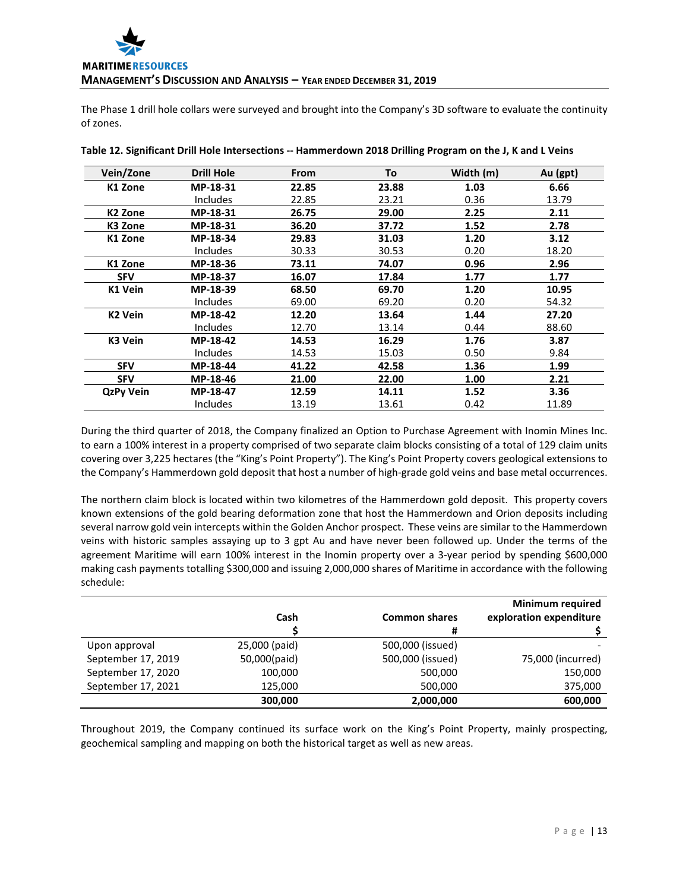The Phase 1 drill hole collars were surveyed and brought into the Company's 3D software to evaluate the continuity of zones.

| Vein/Zone           | <b>Drill Hole</b> | From  | To    | Width (m) | Au (gpt) |
|---------------------|-------------------|-------|-------|-----------|----------|
| K1 Zone             | MP-18-31          | 22.85 | 23.88 | 1.03      | 6.66     |
|                     | Includes          | 22.85 | 23.21 | 0.36      | 13.79    |
| K <sub>2</sub> Zone | MP-18-31          | 26.75 | 29.00 | 2.25      | 2.11     |
| K3 Zone             | MP-18-31          | 36.20 | 37.72 | 1.52      | 2.78     |
| K1 Zone             | MP-18-34          | 29.83 | 31.03 | 1.20      | 3.12     |
|                     | <b>Includes</b>   | 30.33 | 30.53 | 0.20      | 18.20    |
| K1 Zone             | MP-18-36          | 73.11 | 74.07 | 0.96      | 2.96     |
| <b>SFV</b>          | MP-18-37          | 16.07 | 17.84 | 1.77      | 1.77     |
| K1 Vein             | MP-18-39          | 68.50 | 69.70 | 1.20      | 10.95    |
|                     | <b>Includes</b>   | 69.00 | 69.20 | 0.20      | 54.32    |
| K <sub>2</sub> Vein | MP-18-42          | 12.20 | 13.64 | 1.44      | 27.20    |
|                     | <b>Includes</b>   | 12.70 | 13.14 | 0.44      | 88.60    |
| K3 Vein             | MP-18-42          | 14.53 | 16.29 | 1.76      | 3.87     |
|                     | <b>Includes</b>   | 14.53 | 15.03 | 0.50      | 9.84     |
| <b>SFV</b>          | MP-18-44          | 41.22 | 42.58 | 1.36      | 1.99     |
| <b>SFV</b>          | MP-18-46          | 21.00 | 22.00 | 1.00      | 2.21     |
| <b>QzPy Vein</b>    | MP-18-47          | 12.59 | 14.11 | 1.52      | 3.36     |
|                     | Includes          | 13.19 | 13.61 | 0.42      | 11.89    |

**Table 12. Significant Drill Hole Intersections -- Hammerdown 2018 Drilling Program on the J, K and L Veins**

During the third quarter of 2018, the Company finalized an Option to Purchase Agreement with Inomin Mines Inc. to earn a 100% interest in a property comprised of two separate claim blocks consisting of a total of 129 claim units covering over 3,225 hectares (the "King's Point Property"). The King's Point Property covers geological extensions to the Company's Hammerdown gold deposit that host a number of high-grade gold veins and base metal occurrences.

The northern claim block is located within two kilometres of the Hammerdown gold deposit. This property covers known extensions of the gold bearing deformation zone that host the Hammerdown and Orion deposits including several narrow gold vein intercepts within the Golden Anchor prospect. These veins are similar to the Hammerdown veins with historic samples assaying up to 3 gpt Au and have never been followed up. Under the terms of the agreement Maritime will earn 100% interest in the Inomin property over a 3-year period by spending \$600,000 making cash payments totalling \$300,000 and issuing 2,000,000 shares of Maritime in accordance with the following schedule:

|                    |               |                      | <b>Minimum required</b> |
|--------------------|---------------|----------------------|-------------------------|
|                    | Cash          | <b>Common shares</b> | exploration expenditure |
|                    |               | #                    |                         |
| Upon approval      | 25,000 (paid) | 500,000 (issued)     |                         |
| September 17, 2019 | 50,000(paid)  | 500,000 (issued)     | 75,000 (incurred)       |
| September 17, 2020 | 100,000       | 500,000              | 150,000                 |
| September 17, 2021 | 125,000       | 500,000              | 375,000                 |
|                    | 300,000       | 2,000,000            | 600,000                 |

Throughout 2019, the Company continued its surface work on the King's Point Property, mainly prospecting, geochemical sampling and mapping on both the historical target as well as new areas.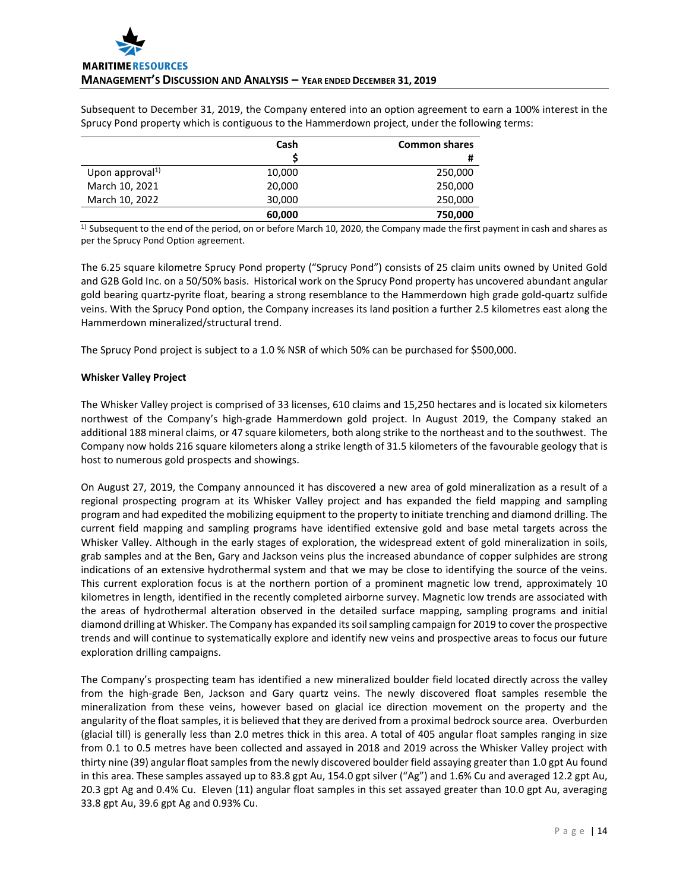Subsequent to December 31, 2019, the Company entered into an option agreement to earn a 100% interest in the Sprucy Pond property which is contiguous to the Hammerdown project, under the following terms:

|                             | Cash   | <b>Common shares</b> |
|-----------------------------|--------|----------------------|
|                             |        | #                    |
| Upon approval <sup>1)</sup> | 10,000 | 250,000              |
| March 10, 2021              | 20,000 | 250,000              |
| March 10, 2022              | 30,000 | 250,000              |
|                             | 60,000 | 750,000              |

 $1)$  Subsequent to the end of the period, on or before March 10, 2020, the Company made the first payment in cash and shares as per the Sprucy Pond Option agreement.

The 6.25 square kilometre Sprucy Pond property ("Sprucy Pond") consists of 25 claim units owned by United Gold and G2B Gold Inc. on a 50/50% basis. Historical work on the Sprucy Pond property has uncovered abundant angular gold bearing quartz-pyrite float, bearing a strong resemblance to the Hammerdown high grade gold-quartz sulfide veins. With the Sprucy Pond option, the Company increases its land position a further 2.5 kilometres east along the Hammerdown mineralized/structural trend.

The Sprucy Pond project is subject to a 1.0 % NSR of which 50% can be purchased for \$500,000.

## **Whisker Valley Project**

The Whisker Valley project is comprised of 33 licenses, 610 claims and 15,250 hectares and is located six kilometers northwest of the Company's high-grade Hammerdown gold project. In August 2019, the Company staked an additional 188 mineral claims, or 47 square kilometers, both along strike to the northeast and to the southwest. The Company now holds 216 square kilometers along a strike length of 31.5 kilometers of the favourable geology that is host to numerous gold prospects and showings.

On August 27, 2019, the Company announced it has discovered a new area of gold mineralization as a result of a regional prospecting program at its Whisker Valley project and has expanded the field mapping and sampling program and had expedited the mobilizing equipment to the property to initiate trenching and diamond drilling. The current field mapping and sampling programs have identified extensive gold and base metal targets across the Whisker Valley. Although in the early stages of exploration, the widespread extent of gold mineralization in soils, grab samples and at the Ben, Gary and Jackson veins plus the increased abundance of copper sulphides are strong indications of an extensive hydrothermal system and that we may be close to identifying the source of the veins. This current exploration focus is at the northern portion of a prominent magnetic low trend, approximately 10 kilometres in length, identified in the recently completed airborne survey. Magnetic low trends are associated with the areas of hydrothermal alteration observed in the detailed surface mapping, sampling programs and initial diamond drilling at Whisker. The Company has expanded its soil sampling campaign for 2019 to cover the prospective trends and will continue to systematically explore and identify new veins and prospective areas to focus our future exploration drilling campaigns.

The Company's prospecting team has identified a new mineralized boulder field located directly across the valley from the high-grade Ben, Jackson and Gary quartz veins. The newly discovered float samples resemble the mineralization from these veins, however based on glacial ice direction movement on the property and the angularity of the float samples, it is believed that they are derived from a proximal bedrock source area. Overburden (glacial till) is generally less than 2.0 metres thick in this area. A total of 405 angular float samples ranging in size from 0.1 to 0.5 metres have been collected and assayed in 2018 and 2019 across the Whisker Valley project with thirty nine (39) angular float samples from the newly discovered boulder field assaying greater than 1.0 gpt Au found in this area. These samples assayed up to 83.8 gpt Au, 154.0 gpt silver ("Ag") and 1.6% Cu and averaged 12.2 gpt Au, 20.3 gpt Ag and 0.4% Cu. Eleven (11) angular float samples in this set assayed greater than 10.0 gpt Au, averaging 33.8 gpt Au, 39.6 gpt Ag and 0.93% Cu.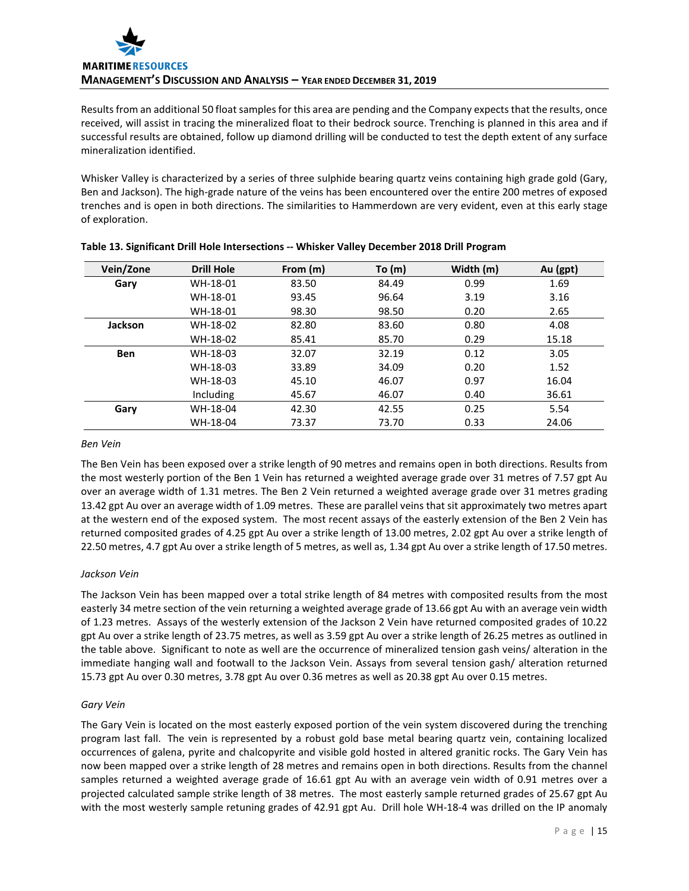

Results from an additional 50 float samples for this area are pending and the Company expects that the results, once received, will assist in tracing the mineralized float to their bedrock source. Trenching is planned in this area and if successful results are obtained, follow up diamond drilling will be conducted to test the depth extent of any surface mineralization identified.

Whisker Valley is characterized by a series of three sulphide bearing quartz veins containing high grade gold (Gary, Ben and Jackson). The high-grade nature of the veins has been encountered over the entire 200 metres of exposed trenches and is open in both directions. The similarities to Hammerdown are very evident, even at this early stage of exploration.

| Vein/Zone  | <b>Drill Hole</b> | From (m) | To $(m)$ | Width (m) | Au (gpt) |
|------------|-------------------|----------|----------|-----------|----------|
| Gary       | WH-18-01          | 83.50    | 84.49    | 0.99      | 1.69     |
|            | WH-18-01          | 93.45    | 96.64    | 3.19      | 3.16     |
|            | WH-18-01          | 98.30    | 98.50    | 0.20      | 2.65     |
| Jackson    | WH-18-02          | 82.80    | 83.60    | 0.80      | 4.08     |
|            | WH-18-02          | 85.41    | 85.70    | 0.29      | 15.18    |
| <b>Ben</b> | WH-18-03          | 32.07    | 32.19    | 0.12      | 3.05     |
|            | WH-18-03          | 33.89    | 34.09    | 0.20      | 1.52     |
|            | WH-18-03          | 45.10    | 46.07    | 0.97      | 16.04    |
|            | Including         | 45.67    | 46.07    | 0.40      | 36.61    |
| Gary       | WH-18-04          | 42.30    | 42.55    | 0.25      | 5.54     |
|            | WH-18-04          | 73.37    | 73.70    | 0.33      | 24.06    |

|  | Table 13. Significant Drill Hole Intersections -- Whisker Valley December 2018 Drill Program |  |  |
|--|----------------------------------------------------------------------------------------------|--|--|
|  |                                                                                              |  |  |

#### *Ben Vein*

The Ben Vein has been exposed over a strike length of 90 metres and remains open in both directions. Results from the most westerly portion of the Ben 1 Vein has returned a weighted average grade over 31 metres of 7.57 gpt Au over an average width of 1.31 metres. The Ben 2 Vein returned a weighted average grade over 31 metres grading 13.42 gpt Au over an average width of 1.09 metres. These are parallel veins that sit approximately two metres apart at the western end of the exposed system. The most recent assays of the easterly extension of the Ben 2 Vein has returned composited grades of 4.25 gpt Au over a strike length of 13.00 metres, 2.02 gpt Au over a strike length of 22.50 metres, 4.7 gpt Au over a strike length of 5 metres, as well as, 1.34 gpt Au over a strike length of 17.50 metres.

## *Jackson Vein*

The Jackson Vein has been mapped over a total strike length of 84 metres with composited results from the most easterly 34 metre section of the vein returning a weighted average grade of 13.66 gpt Au with an average vein width of 1.23 metres. Assays of the westerly extension of the Jackson 2 Vein have returned composited grades of 10.22 gpt Au over a strike length of 23.75 metres, as well as 3.59 gpt Au over a strike length of 26.25 metres as outlined in the table above. Significant to note as well are the occurrence of mineralized tension gash veins/ alteration in the immediate hanging wall and footwall to the Jackson Vein. Assays from several tension gash/ alteration returned 15.73 gpt Au over 0.30 metres, 3.78 gpt Au over 0.36 metres as well as 20.38 gpt Au over 0.15 metres.

# *Gary Vein*

The Gary Vein is located on the most easterly exposed portion of the vein system discovered during the trenching program last fall. The vein is represented by a robust gold base metal bearing quartz vein, containing localized occurrences of galena, pyrite and chalcopyrite and visible gold hosted in altered granitic rocks. The Gary Vein has now been mapped over a strike length of 28 metres and remains open in both directions. Results from the channel samples returned a weighted average grade of 16.61 gpt Au with an average vein width of 0.91 metres over a projected calculated sample strike length of 38 metres. The most easterly sample returned grades of 25.67 gpt Au with the most westerly sample retuning grades of 42.91 gpt Au. Drill hole WH-18-4 was drilled on the IP anomaly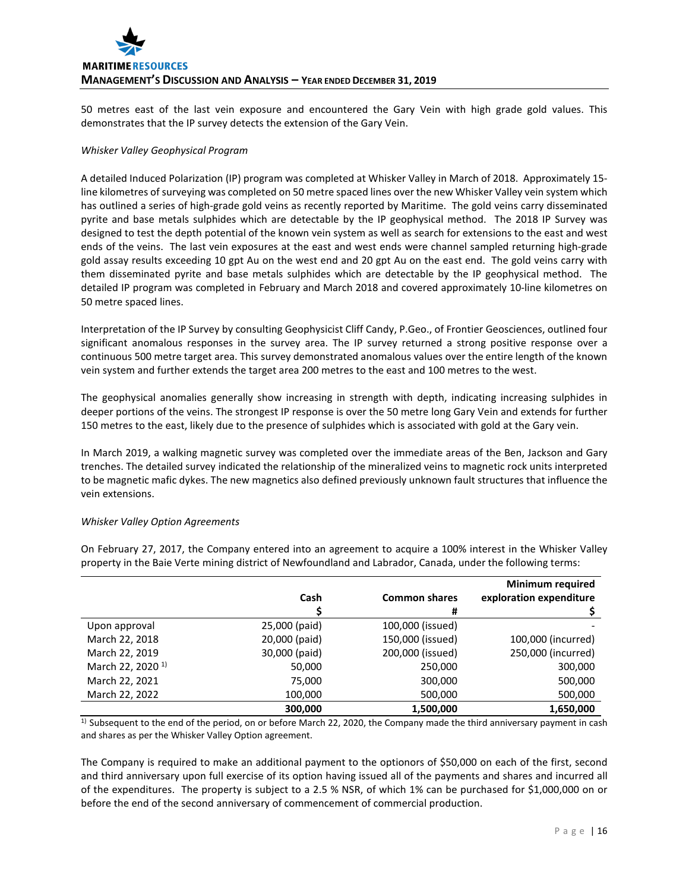

50 metres east of the last vein exposure and encountered the Gary Vein with high grade gold values. This demonstrates that the IP survey detects the extension of the Gary Vein.

#### *Whisker Valley Geophysical Program*

A detailed Induced Polarization (IP) program was completed at Whisker Valley in March of 2018. Approximately 15 line kilometres of surveying was completed on 50 metre spaced lines over the new Whisker Valley vein system which has outlined a series of high-grade gold veins as recently reported by Maritime. The gold veins carry disseminated pyrite and base metals sulphides which are detectable by the IP geophysical method. The 2018 IP Survey was designed to test the depth potential of the known vein system as well as search for extensions to the east and west ends of the veins. The last vein exposures at the east and west ends were channel sampled returning high-grade gold assay results exceeding 10 gpt Au on the west end and 20 gpt Au on the east end. The gold veins carry with them disseminated pyrite and base metals sulphides which are detectable by the IP geophysical method. The detailed IP program was completed in February and March 2018 and covered approximately 10-line kilometres on 50 metre spaced lines.

Interpretation of the IP Survey by consulting Geophysicist Cliff Candy, P.Geo., of Frontier Geosciences, outlined four significant anomalous responses in the survey area. The IP survey returned a strong positive response over a continuous 500 metre target area. This survey demonstrated anomalous values over the entire length of the known vein system and further extends the target area 200 metres to the east and 100 metres to the west.

The geophysical anomalies generally show increasing in strength with depth, indicating increasing sulphides in deeper portions of the veins. The strongest IP response is over the 50 metre long Gary Vein and extends for further 150 metres to the east, likely due to the presence of sulphides which is associated with gold at the Gary vein.

In March 2019, a walking magnetic survey was completed over the immediate areas of the Ben, Jackson and Gary trenches. The detailed survey indicated the relationship of the mineralized veins to magnetic rock units interpreted to be magnetic mafic dykes. The new magnetics also defined previously unknown fault structures that influence the vein extensions.

#### *Whisker Valley Option Agreements*

|                              | Cash          | <b>Common shares</b> | <b>Minimum required</b><br>exploration expenditure |
|------------------------------|---------------|----------------------|----------------------------------------------------|
|                              |               | #                    |                                                    |
| Upon approval                | 25,000 (paid) | 100,000 (issued)     |                                                    |
| March 22, 2018               | 20,000 (paid) | 150,000 (issued)     | 100,000 (incurred)                                 |
| March 22, 2019               | 30,000 (paid) | 200,000 (issued)     | 250,000 (incurred)                                 |
| March 22, 2020 <sup>1)</sup> | 50,000        | 250,000              | 300,000                                            |
| March 22, 2021               | 75,000        | 300,000              | 500,000                                            |
| March 22, 2022               | 100,000       | 500,000              | 500,000                                            |
|                              | 300.000       | 1,500,000            | 1,650,000                                          |

On February 27, 2017, the Company entered into an agreement to acquire a 100% interest in the Whisker Valley property in the Baie Verte mining district of Newfoundland and Labrador, Canada, under the following terms:

1) Subsequent to the end of the period, on or before March 22, 2020, the Company made the third anniversary payment in cash and shares as per the Whisker Valley Option agreement.

The Company is required to make an additional payment to the optionors of \$50,000 on each of the first, second and third anniversary upon full exercise of its option having issued all of the payments and shares and incurred all of the expenditures. The property is subject to a 2.5 % NSR, of which 1% can be purchased for \$1,000,000 on or before the end of the second anniversary of commencement of commercial production.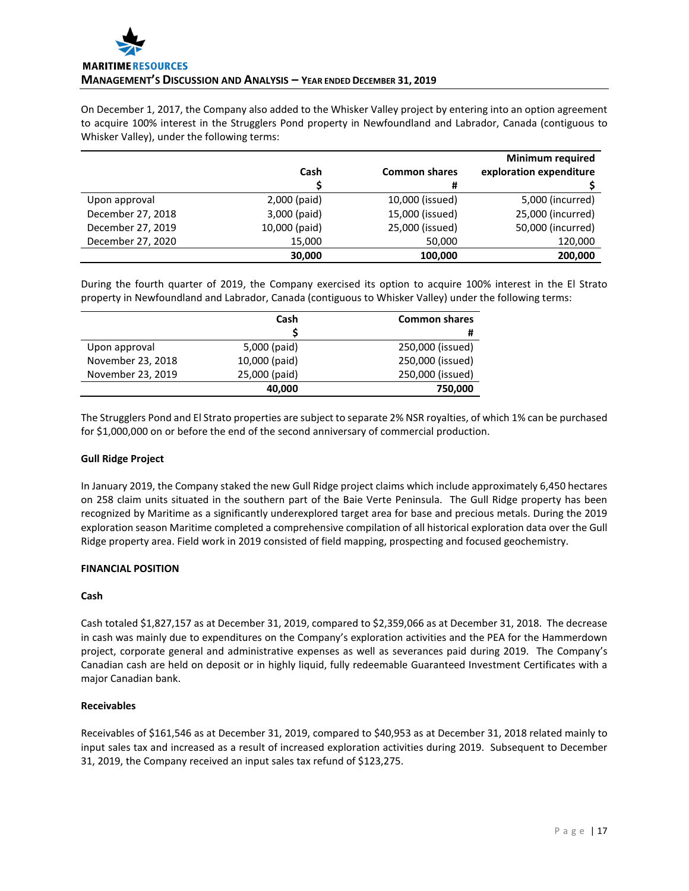

On December 1, 2017, the Company also added to the Whisker Valley project by entering into an option agreement to acquire 100% interest in the Strugglers Pond property in Newfoundland and Labrador, Canada (contiguous to Whisker Valley), under the following terms:

|                   |               |                      | <b>Minimum required</b> |
|-------------------|---------------|----------------------|-------------------------|
|                   | Cash          | <b>Common shares</b> | exploration expenditure |
|                   |               | #                    |                         |
| Upon approval     | 2,000 (paid)  | 10,000 (issued)      | 5,000 (incurred)        |
| December 27, 2018 | 3,000 (paid)  | 15,000 (issued)      | 25,000 (incurred)       |
| December 27, 2019 | 10,000 (paid) | 25,000 (issued)      | 50,000 (incurred)       |
| December 27, 2020 | 15,000        | 50,000               | 120,000                 |
|                   | 30,000        | 100,000              | 200,000                 |

During the fourth quarter of 2019, the Company exercised its option to acquire 100% interest in the El Strato property in Newfoundland and Labrador, Canada (contiguous to Whisker Valley) under the following terms:

|                   | Cash          | <b>Common shares</b> |
|-------------------|---------------|----------------------|
|                   |               | #                    |
| Upon approval     | 5,000 (paid)  | 250,000 (issued)     |
| November 23, 2018 | 10,000 (paid) | 250,000 (issued)     |
| November 23, 2019 | 25,000 (paid) | 250,000 (issued)     |
|                   | 40,000        | 750,000              |

The Strugglers Pond and El Strato properties are subject to separate 2% NSR royalties, of which 1% can be purchased for \$1,000,000 on or before the end of the second anniversary of commercial production.

## **Gull Ridge Project**

In January 2019, the Company staked the new Gull Ridge project claims which include approximately 6,450 hectares on 258 claim units situated in the southern part of the Baie Verte Peninsula. The Gull Ridge property has been recognized by Maritime as a significantly underexplored target area for base and precious metals. During the 2019 exploration season Maritime completed a comprehensive compilation of all historical exploration data over the Gull Ridge property area. Field work in 2019 consisted of field mapping, prospecting and focused geochemistry.

## **FINANCIAL POSITION**

## **Cash**

Cash totaled \$1,827,157 as at December 31, 2019, compared to \$2,359,066 as at December 31, 2018. The decrease in cash was mainly due to expenditures on the Company's exploration activities and the PEA for the Hammerdown project, corporate general and administrative expenses as well as severances paid during 2019. The Company's Canadian cash are held on deposit or in highly liquid, fully redeemable Guaranteed Investment Certificates with a major Canadian bank.

# **Receivables**

Receivables of \$161,546 as at December 31, 2019, compared to \$40,953 as at December 31, 2018 related mainly to input sales tax and increased as a result of increased exploration activities during 2019. Subsequent to December 31, 2019, the Company received an input sales tax refund of \$123,275.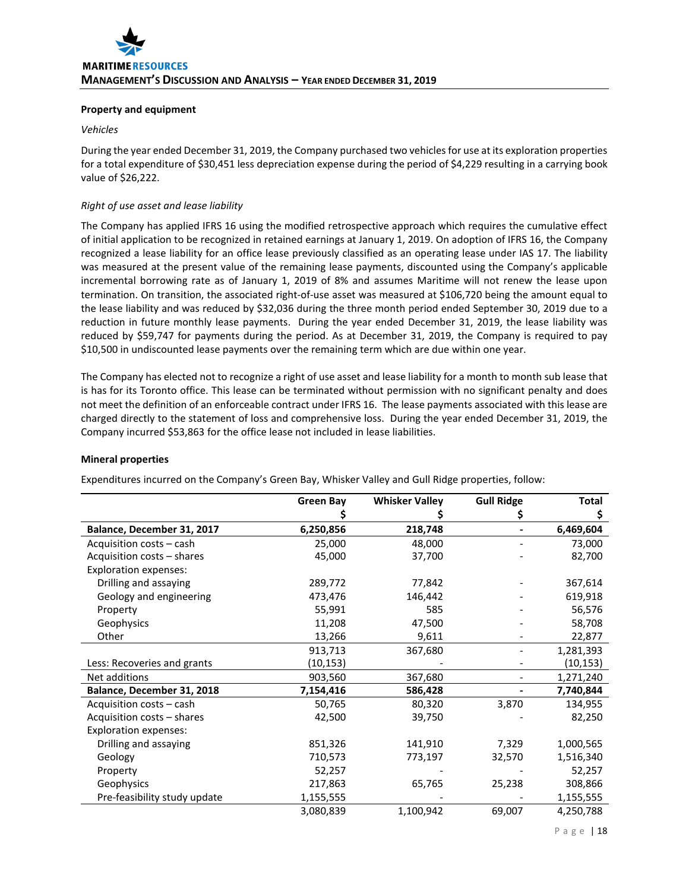## **Property and equipment**

## *Vehicles*

During the year ended December 31, 2019, the Company purchased two vehicles for use at its exploration properties for a total expenditure of \$30,451 less depreciation expense during the period of \$4,229 resulting in a carrying book value of \$26,222.

# *Right of use asset and lease liability*

The Company has applied IFRS 16 using the modified retrospective approach which requires the cumulative effect of initial application to be recognized in retained earnings at January 1, 2019. On adoption of IFRS 16, the Company recognized a lease liability for an office lease previously classified as an operating lease under IAS 17. The liability was measured at the present value of the remaining lease payments, discounted using the Company's applicable incremental borrowing rate as of January 1, 2019 of 8% and assumes Maritime will not renew the lease upon termination. On transition, the associated right-of-use asset was measured at \$106,720 being the amount equal to the lease liability and was reduced by \$32,036 during the three month period ended September 30, 2019 due to a reduction in future monthly lease payments. During the year ended December 31, 2019, the lease liability was reduced by \$59,747 for payments during the period. As at December 31, 2019, the Company is required to pay \$10,500 in undiscounted lease payments over the remaining term which are due within one year.

The Company has elected not to recognize a right of use asset and lease liability for a month to month sub lease that is has for its Toronto office. This lease can be terminated without permission with no significant penalty and does not meet the definition of an enforceable contract under IFRS 16. The lease payments associated with this lease are charged directly to the statement of loss and comprehensive loss. During the year ended December 31, 2019, the Company incurred \$53,863 for the office lease not included in lease liabilities.

|                              | <b>Green Bay</b> | <b>Whisker Valley</b> | <b>Gull Ridge</b> | <b>Total</b> |
|------------------------------|------------------|-----------------------|-------------------|--------------|
|                              |                  |                       |                   | \$           |
| Balance, December 31, 2017   | 6,250,856        | 218,748               |                   | 6,469,604    |
| Acquisition costs - cash     | 25,000           | 48,000                |                   | 73,000       |
| Acquisition costs - shares   | 45,000           | 37,700                |                   | 82,700       |
| <b>Exploration expenses:</b> |                  |                       |                   |              |
| Drilling and assaying        | 289,772          | 77,842                |                   | 367,614      |
| Geology and engineering      | 473,476          | 146,442               |                   | 619,918      |
| Property                     | 55,991           | 585                   |                   | 56,576       |
| Geophysics                   | 11,208           | 47,500                |                   | 58,708       |
| Other                        | 13,266           | 9,611                 |                   | 22,877       |
|                              | 913,713          | 367,680               |                   | 1,281,393    |
| Less: Recoveries and grants  | (10, 153)        |                       |                   | (10, 153)    |
| Net additions                | 903,560          | 367,680               |                   | 1,271,240    |
| Balance, December 31, 2018   | 7,154,416        | 586,428               |                   | 7,740,844    |
| Acquisition costs - cash     | 50,765           | 80,320                | 3,870             | 134,955      |
| Acquisition costs - shares   | 42,500           | 39,750                |                   | 82,250       |
| <b>Exploration expenses:</b> |                  |                       |                   |              |
| Drilling and assaying        | 851,326          | 141,910               | 7,329             | 1,000,565    |
| Geology                      | 710,573          | 773,197               | 32,570            | 1,516,340    |
| Property                     | 52,257           |                       |                   | 52,257       |
| Geophysics                   | 217,863          | 65,765                | 25,238            | 308,866      |
| Pre-feasibility study update | 1,155,555        |                       |                   | 1,155,555    |
|                              | 3,080,839        | 1,100,942             | 69,007            | 4,250,788    |

## **Mineral properties**

Expenditures incurred on the Company's Green Bay, Whisker Valley and Gull Ridge properties, follow: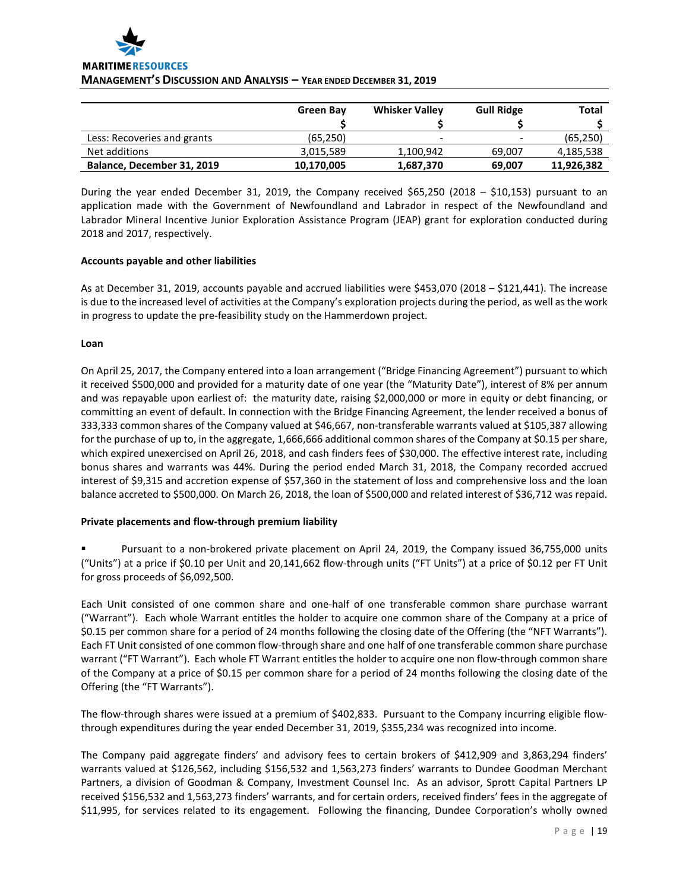

#### **MANAGEMENT'S DISCUSSION AND ANALYSIS – YEAR ENDED DECEMBER 31, 2019**

|                             | Green Bay  | <b>Whisker Valley</b> | <b>Gull Ridge</b>        | <b>Total</b> |
|-----------------------------|------------|-----------------------|--------------------------|--------------|
|                             |            |                       |                          |              |
| Less: Recoveries and grants | (65.250)   | -                     | $\overline{\phantom{a}}$ | (65, 250)    |
| Net additions               | 3,015,589  | 1,100,942             | 69.007                   | 4,185,538    |
| Balance, December 31, 2019  | 10,170,005 | 1,687,370             | 69,007                   | 11,926,382   |

During the year ended December 31, 2019, the Company received \$65,250 (2018 – \$10,153) pursuant to an application made with the Government of Newfoundland and Labrador in respect of the Newfoundland and Labrador Mineral Incentive Junior Exploration Assistance Program (JEAP) grant for exploration conducted during 2018 and 2017, respectively.

## **Accounts payable and other liabilities**

As at December 31, 2019, accounts payable and accrued liabilities were \$453,070 (2018 – \$121,441). The increase is due to the increased level of activities at the Company's exploration projects during the period, as well as the work in progress to update the pre-feasibility study on the Hammerdown project.

## **Loan**

On April 25, 2017, the Company entered into a loan arrangement ("Bridge Financing Agreement") pursuant to which it received \$500,000 and provided for a maturity date of one year (the "Maturity Date"), interest of 8% per annum and was repayable upon earliest of: the maturity date, raising \$2,000,000 or more in equity or debt financing, or committing an event of default. In connection with the Bridge Financing Agreement, the lender received a bonus of 333,333 common shares of the Company valued at \$46,667, non-transferable warrants valued at \$105,387 allowing for the purchase of up to, in the aggregate, 1,666,666 additional common shares of the Company at \$0.15 per share, which expired unexercised on April 26, 2018, and cash finders fees of \$30,000. The effective interest rate, including bonus shares and warrants was 44%. During the period ended March 31, 2018, the Company recorded accrued interest of \$9,315 and accretion expense of \$57,360 in the statement of loss and comprehensive loss and the loan balance accreted to \$500,000. On March 26, 2018, the loan of \$500,000 and related interest of \$36,712 was repaid.

## **Private placements and flow-through premium liability**

 Pursuant to a non-brokered private placement on April 24, 2019, the Company issued 36,755,000 units ("Units") at a price if \$0.10 per Unit and 20,141,662 flow-through units ("FT Units") at a price of \$0.12 per FT Unit for gross proceeds of \$6,092,500.

Each Unit consisted of one common share and one-half of one transferable common share purchase warrant ("Warrant"). Each whole Warrant entitles the holder to acquire one common share of the Company at a price of \$0.15 per common share for a period of 24 months following the closing date of the Offering (the "NFT Warrants"). Each FT Unit consisted of one common flow-through share and one half of one transferable common share purchase warrant ("FT Warrant"). Each whole FT Warrant entitles the holder to acquire one non flow-through common share of the Company at a price of \$0.15 per common share for a period of 24 months following the closing date of the Offering (the "FT Warrants").

The flow-through shares were issued at a premium of \$402,833. Pursuant to the Company incurring eligible flowthrough expenditures during the year ended December 31, 2019, \$355,234 was recognized into income.

The Company paid aggregate finders' and advisory fees to certain brokers of \$412,909 and 3,863,294 finders' warrants valued at \$126,562, including \$156,532 and 1,563,273 finders' warrants to Dundee Goodman Merchant Partners, a division of Goodman & Company, Investment Counsel Inc. As an advisor, Sprott Capital Partners LP received \$156,532 and 1,563,273 finders' warrants, and for certain orders, received finders' fees in the aggregate of \$11,995, for services related to its engagement. Following the financing, Dundee Corporation's wholly owned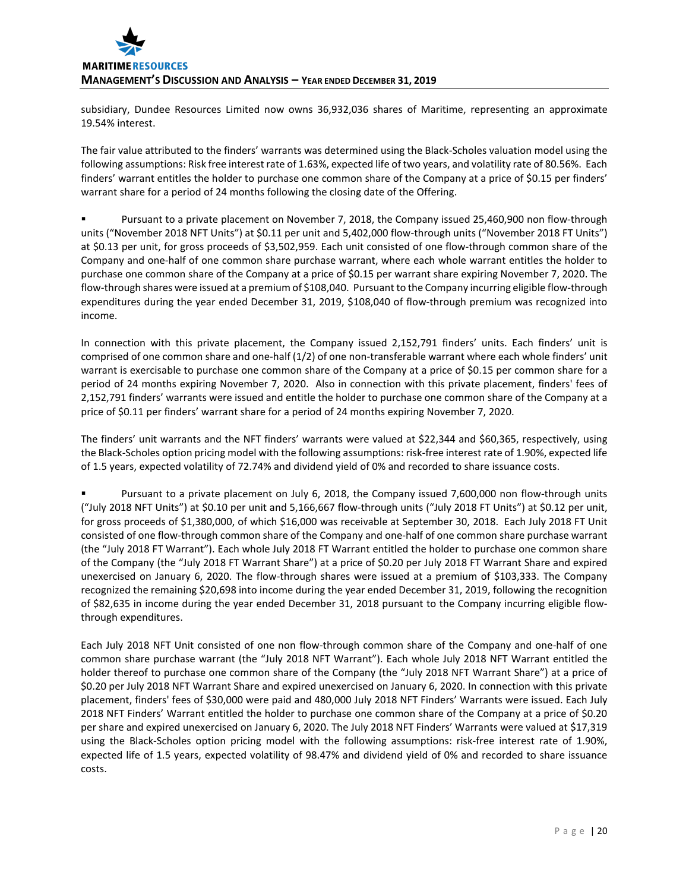subsidiary, Dundee Resources Limited now owns 36,932,036 shares of Maritime, representing an approximate 19.54% interest.

The fair value attributed to the finders' warrants was determined using the Black-Scholes valuation model using the following assumptions: Risk free interest rate of 1.63%, expected life of two years, and volatility rate of 80.56%. Each finders' warrant entitles the holder to purchase one common share of the Company at a price of \$0.15 per finders' warrant share for a period of 24 months following the closing date of the Offering.

 Pursuant to a private placement on November 7, 2018, the Company issued 25,460,900 non flow-through units ("November 2018 NFT Units") at \$0.11 per unit and 5,402,000 flow-through units ("November 2018 FT Units") at \$0.13 per unit, for gross proceeds of \$3,502,959. Each unit consisted of one flow-through common share of the Company and one-half of one common share purchase warrant, where each whole warrant entitles the holder to purchase one common share of the Company at a price of \$0.15 per warrant share expiring November 7, 2020. The flow-through shares were issued at a premium of \$108,040. Pursuant to the Company incurring eligible flow-through expenditures during the year ended December 31, 2019, \$108,040 of flow-through premium was recognized into income.

In connection with this private placement, the Company issued 2,152,791 finders' units. Each finders' unit is comprised of one common share and one-half (1/2) of one non-transferable warrant where each whole finders' unit warrant is exercisable to purchase one common share of the Company at a price of \$0.15 per common share for a period of 24 months expiring November 7, 2020. Also in connection with this private placement, finders' fees of 2,152,791 finders' warrants were issued and entitle the holder to purchase one common share of the Company at a price of \$0.11 per finders' warrant share for a period of 24 months expiring November 7, 2020.

The finders' unit warrants and the NFT finders' warrants were valued at \$22,344 and \$60,365, respectively, using the Black-Scholes option pricing model with the following assumptions: risk-free interest rate of 1.90%, expected life of 1.5 years, expected volatility of 72.74% and dividend yield of 0% and recorded to share issuance costs.

 Pursuant to a private placement on July 6, 2018, the Company issued 7,600,000 non flow-through units ("July 2018 NFT Units") at \$0.10 per unit and 5,166,667 flow-through units ("July 2018 FT Units") at \$0.12 per unit, for gross proceeds of \$1,380,000, of which \$16,000 was receivable at September 30, 2018. Each July 2018 FT Unit consisted of one flow-through common share of the Company and one-half of one common share purchase warrant (the "July 2018 FT Warrant"). Each whole July 2018 FT Warrant entitled the holder to purchase one common share of the Company (the "July 2018 FT Warrant Share") at a price of \$0.20 per July 2018 FT Warrant Share and expired unexercised on January 6, 2020. The flow-through shares were issued at a premium of \$103,333. The Company recognized the remaining \$20,698 into income during the year ended December 31, 2019, following the recognition of \$82,635 in income during the year ended December 31, 2018 pursuant to the Company incurring eligible flowthrough expenditures.

Each July 2018 NFT Unit consisted of one non flow-through common share of the Company and one-half of one common share purchase warrant (the "July 2018 NFT Warrant"). Each whole July 2018 NFT Warrant entitled the holder thereof to purchase one common share of the Company (the "July 2018 NFT Warrant Share") at a price of \$0.20 per July 2018 NFT Warrant Share and expired unexercised on January 6, 2020. In connection with this private placement, finders' fees of \$30,000 were paid and 480,000 July 2018 NFT Finders' Warrants were issued. Each July 2018 NFT Finders' Warrant entitled the holder to purchase one common share of the Company at a price of \$0.20 per share and expired unexercised on January 6, 2020. The July 2018 NFT Finders' Warrants were valued at \$17,319 using the Black-Scholes option pricing model with the following assumptions: risk-free interest rate of 1.90%, expected life of 1.5 years, expected volatility of 98.47% and dividend yield of 0% and recorded to share issuance costs.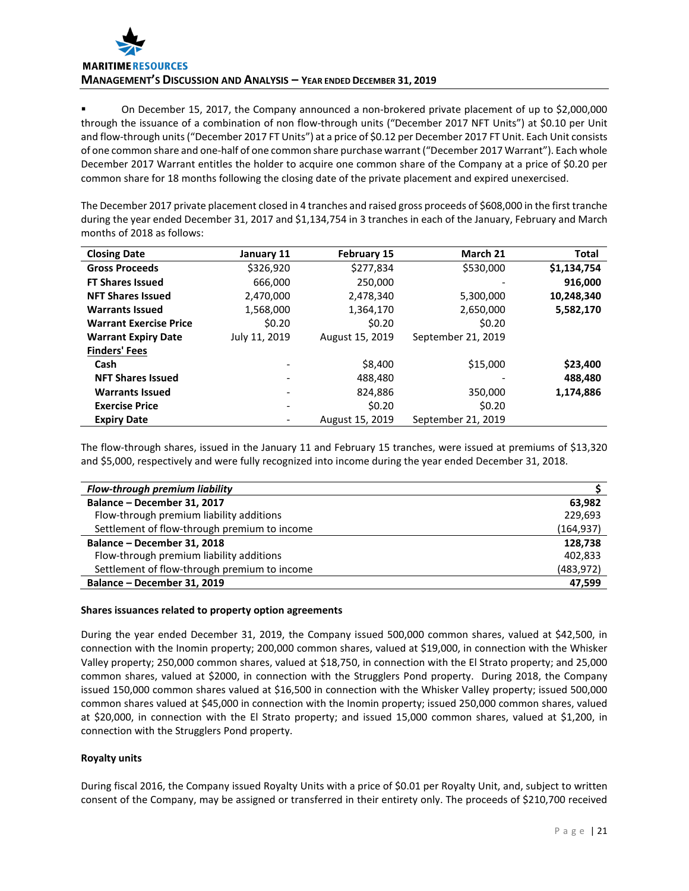On December 15, 2017, the Company announced a non-brokered private placement of up to \$2,000,000 through the issuance of a combination of non flow-through units ("December 2017 NFT Units") at \$0.10 per Unit and flow-through units ("December 2017 FT Units") at a price of \$0.12 per December 2017 FT Unit. Each Unit consists of one common share and one-half of one common share purchase warrant ("December 2017 Warrant"). Each whole December 2017 Warrant entitles the holder to acquire one common share of the Company at a price of \$0.20 per common share for 18 months following the closing date of the private placement and expired unexercised.

The December 2017 private placement closed in 4 tranches and raised gross proceeds of \$608,000 in the first tranche during the year ended December 31, 2017 and \$1,134,754 in 3 tranches in each of the January, February and March months of 2018 as follows:

| <b>Closing Date</b>           | January 11    | <b>February 15</b> | March 21           | Total       |
|-------------------------------|---------------|--------------------|--------------------|-------------|
| <b>Gross Proceeds</b>         | \$326,920     | \$277,834          | \$530,000          | \$1,134,754 |
| <b>FT Shares Issued</b>       | 666,000       | 250,000            |                    | 916,000     |
| <b>NFT Shares Issued</b>      | 2,470,000     | 2,478,340          | 5,300,000          | 10,248,340  |
| <b>Warrants Issued</b>        | 1,568,000     | 1,364,170          | 2,650,000          | 5,582,170   |
| <b>Warrant Exercise Price</b> | \$0.20        | \$0.20             | \$0.20             |             |
| <b>Warrant Expiry Date</b>    | July 11, 2019 | August 15, 2019    | September 21, 2019 |             |
| <b>Finders' Fees</b>          |               |                    |                    |             |
| Cash                          | ٠             | \$8,400            | \$15,000           | \$23,400    |
| <b>NFT Shares Issued</b>      |               | 488,480            |                    | 488,480     |
| <b>Warrants Issued</b>        | ٠             | 824,886            | 350,000            | 1,174,886   |
| <b>Exercise Price</b>         | ٠             | \$0.20             | \$0.20             |             |
| <b>Expiry Date</b>            |               | August 15, 2019    | September 21, 2019 |             |

The flow-through shares, issued in the January 11 and February 15 tranches, were issued at premiums of \$13,320 and \$5,000, respectively and were fully recognized into income during the year ended December 31, 2018.

| Flow-through premium liability               |            |
|----------------------------------------------|------------|
| Balance - December 31, 2017                  | 63,982     |
| Flow-through premium liability additions     | 229,693    |
| Settlement of flow-through premium to income | (164, 937) |
| Balance - December 31, 2018                  | 128,738    |
| Flow-through premium liability additions     | 402.833    |
| Settlement of flow-through premium to income | (483, 972) |
| Balance - December 31, 2019                  | 47,599     |

# **Shares issuances related to property option agreements**

During the year ended December 31, 2019, the Company issued 500,000 common shares, valued at \$42,500, in connection with the Inomin property; 200,000 common shares, valued at \$19,000, in connection with the Whisker Valley property; 250,000 common shares, valued at \$18,750, in connection with the El Strato property; and 25,000 common shares, valued at \$2000, in connection with the Strugglers Pond property. During 2018, the Company issued 150,000 common shares valued at \$16,500 in connection with the Whisker Valley property; issued 500,000 common shares valued at \$45,000 in connection with the Inomin property; issued 250,000 common shares, valued at \$20,000, in connection with the El Strato property; and issued 15,000 common shares, valued at \$1,200, in connection with the Strugglers Pond property.

# **Royalty units**

During fiscal 2016, the Company issued Royalty Units with a price of \$0.01 per Royalty Unit, and, subject to written consent of the Company, may be assigned or transferred in their entirety only. The proceeds of \$210,700 received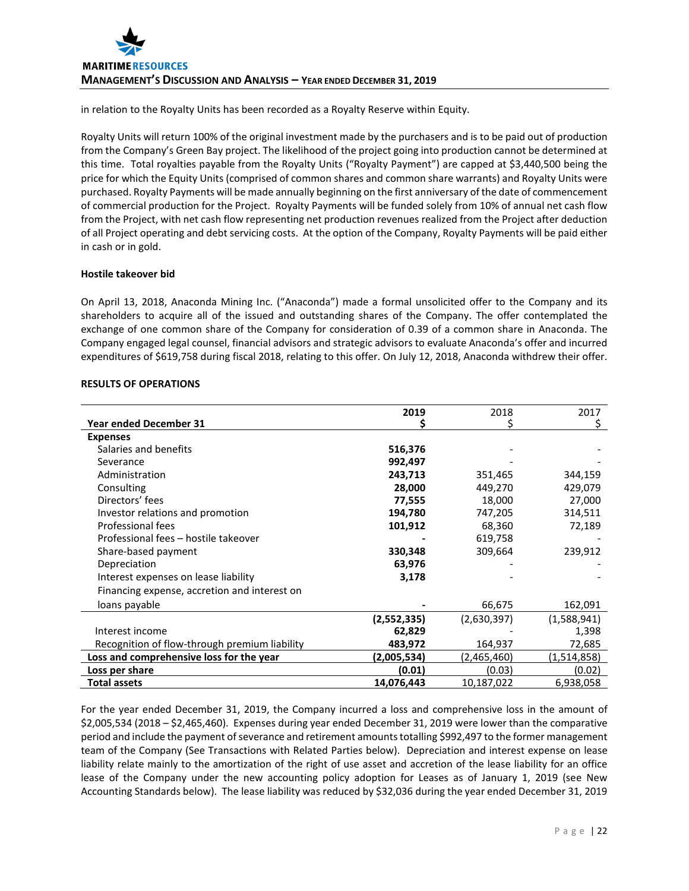in relation to the Royalty Units has been recorded as a Royalty Reserve within Equity.

Royalty Units will return 100% of the original investment made by the purchasers and is to be paid out of production from the Company's Green Bay project. The likelihood of the project going into production cannot be determined at this time. Total royalties payable from the Royalty Units ("Royalty Payment") are capped at \$3,440,500 being the price for which the Equity Units (comprised of common shares and common share warrants) and Royalty Units were purchased. Royalty Payments will be made annually beginning on the first anniversary of the date of commencement of commercial production for the Project. Royalty Payments will be funded solely from 10% of annual net cash flow from the Project, with net cash flow representing net production revenues realized from the Project after deduction of all Project operating and debt servicing costs. At the option of the Company, Royalty Payments will be paid either in cash or in gold.

# **Hostile takeover bid**

On April 13, 2018, Anaconda Mining Inc. ("Anaconda") made a formal unsolicited offer to the Company and its shareholders to acquire all of the issued and outstanding shares of the Company. The offer contemplated the exchange of one common share of the Company for consideration of 0.39 of a common share in Anaconda. The Company engaged legal counsel, financial advisors and strategic advisors to evaluate Anaconda's offer and incurred expenditures of \$619,758 during fiscal 2018, relating to this offer. On July 12, 2018, Anaconda withdrew their offer.

|  | <b>RESULTS OF OPERATIONS</b> |  |
|--|------------------------------|--|
|  |                              |  |

|                                               | 2019        | 2018        | 2017        |
|-----------------------------------------------|-------------|-------------|-------------|
| <b>Year ended December 31</b>                 |             |             |             |
| <b>Expenses</b>                               |             |             |             |
| Salaries and benefits                         | 516,376     |             |             |
| Severance                                     | 992,497     |             |             |
| Administration                                | 243,713     | 351,465     | 344,159     |
| Consulting                                    | 28,000      | 449,270     | 429,079     |
| Directors' fees                               | 77,555      | 18,000      | 27,000      |
| Investor relations and promotion              | 194,780     | 747,205     | 314,511     |
| Professional fees                             | 101,912     | 68,360      | 72,189      |
| Professional fees - hostile takeover          |             | 619,758     |             |
| Share-based payment                           | 330,348     | 309,664     | 239,912     |
| Depreciation                                  | 63,976      |             |             |
| Interest expenses on lease liability          | 3,178       |             |             |
| Financing expense, accretion and interest on  |             |             |             |
| loans payable                                 |             | 66,675      | 162,091     |
|                                               | (2,552,335) | (2,630,397) | (1,588,941) |
| Interest income                               | 62,829      |             | 1,398       |
| Recognition of flow-through premium liability | 483,972     | 164,937     | 72,685      |
| Loss and comprehensive loss for the year      | (2,005,534) | (2,465,460) | (1,514,858) |
| Loss per share                                | (0.01)      | (0.03)      | (0.02)      |
| <b>Total assets</b>                           | 14,076,443  | 10,187,022  | 6,938,058   |

For the year ended December 31, 2019, the Company incurred a loss and comprehensive loss in the amount of \$2,005,534 (2018 – \$2,465,460). Expenses during year ended December 31, 2019 were lower than the comparative period and include the payment of severance and retirement amounts totalling \$992,497 to the former management team of the Company (See Transactions with Related Parties below). Depreciation and interest expense on lease liability relate mainly to the amortization of the right of use asset and accretion of the lease liability for an office lease of the Company under the new accounting policy adoption for Leases as of January 1, 2019 (see New Accounting Standards below). The lease liability was reduced by \$32,036 during the year ended December 31, 2019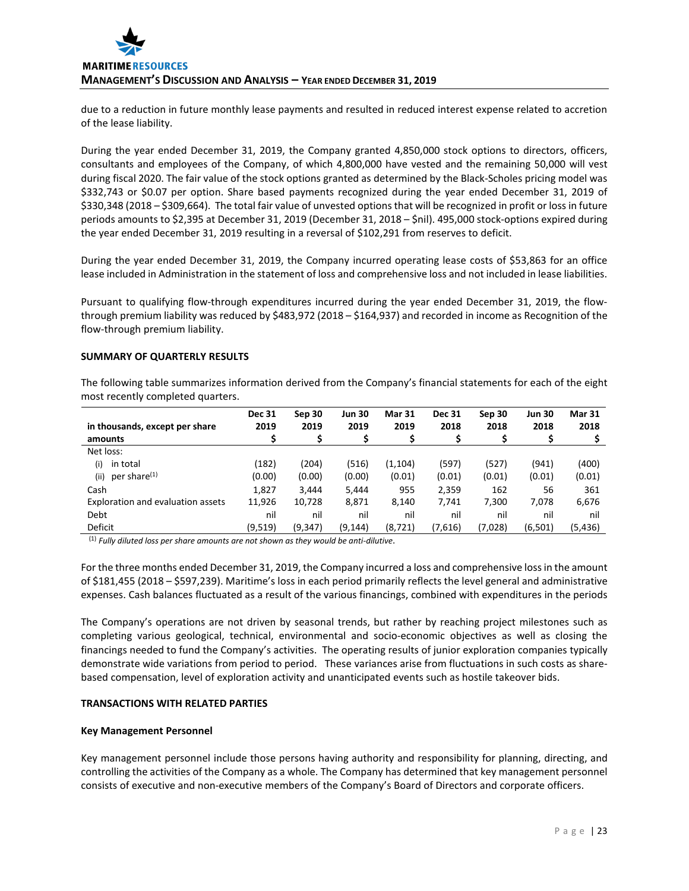due to a reduction in future monthly lease payments and resulted in reduced interest expense related to accretion of the lease liability.

During the year ended December 31, 2019, the Company granted 4,850,000 stock options to directors, officers, consultants and employees of the Company, of which 4,800,000 have vested and the remaining 50,000 will vest during fiscal 2020. The fair value of the stock options granted as determined by the Black-Scholes pricing model was \$332,743 or \$0.07 per option. Share based payments recognized during the year ended December 31, 2019 of \$330,348 (2018 – \$309,664). The total fair value of unvested options that will be recognized in profit or loss in future periods amounts to \$2,395 at December 31, 2019 (December 31, 2018 – \$nil). 495,000 stock-options expired during the year ended December 31, 2019 resulting in a reversal of \$102,291 from reserves to deficit.

During the year ended December 31, 2019, the Company incurred operating lease costs of \$53,863 for an office lease included in Administration in the statement of loss and comprehensive loss and not included in lease liabilities.

Pursuant to qualifying flow-through expenditures incurred during the year ended December 31, 2019, the flowthrough premium liability was reduced by \$483,972 (2018 – \$164,937) and recorded in income as Recognition of the flow-through premium liability.

#### **SUMMARY OF QUARTERLY RESULTS**

The following table summarizes information derived from the Company's financial statements for each of the eight most recently completed quarters.

| in thousands, except per share    | <b>Dec 31</b><br>2019 | Sep 30<br>2019 | <b>Jun 30</b><br>2019 | <b>Mar 31</b><br>2019 | <b>Dec 31</b><br>2018 | Sep 30<br>2018 | <b>Jun 30</b><br>2018 | <b>Mar 31</b><br>2018 |
|-----------------------------------|-----------------------|----------------|-----------------------|-----------------------|-----------------------|----------------|-----------------------|-----------------------|
| amounts                           |                       |                |                       |                       |                       |                |                       |                       |
| Net loss:                         |                       |                |                       |                       |                       |                |                       |                       |
| (i)<br>in total                   | (182)                 | (204)          | (516)                 | (1,104)               | (597)                 | (527)          | (941)                 | (400)                 |
| per share <sup>(1)</sup><br>(ii)  | (0.00)                | (0.00)         | (0.00)                | (0.01)                | (0.01)                | (0.01)         | (0.01)                | (0.01)                |
| Cash                              | 1,827                 | 3.444          | 5,444                 | 955                   | 2,359                 | 162            | 56                    | 361                   |
| Exploration and evaluation assets | 11,926                | 10,728         | 8,871                 | 8,140                 | 7,741                 | 7,300          | 7,078                 | 6,676                 |
| Debt                              | nil                   | nil            | nil                   | nil                   | nil                   | nil            | nil                   | nil                   |
| Deficit                           | (9,519)               | (9, 347)       | (9, 144)              | (8, 721)              | (7,616)               | (7,028)        | (6,501)               | (5,436)               |

(1) *Fully diluted loss per share amounts are not shown as they would be anti-dilutive*.

For the three months ended December 31, 2019, the Company incurred a loss and comprehensive loss in the amount of \$181,455 (2018 – \$597,239). Maritime's loss in each period primarily reflects the level general and administrative expenses. Cash balances fluctuated as a result of the various financings, combined with expenditures in the periods

The Company's operations are not driven by seasonal trends, but rather by reaching project milestones such as completing various geological, technical, environmental and socio-economic objectives as well as closing the financings needed to fund the Company's activities. The operating results of junior exploration companies typically demonstrate wide variations from period to period. These variances arise from fluctuations in such costs as sharebased compensation, level of exploration activity and unanticipated events such as hostile takeover bids.

## **TRANSACTIONS WITH RELATED PARTIES**

#### **Key Management Personnel**

Key management personnel include those persons having authority and responsibility for planning, directing, and controlling the activities of the Company as a whole. The Company has determined that key management personnel consists of executive and non-executive members of the Company's Board of Directors and corporate officers.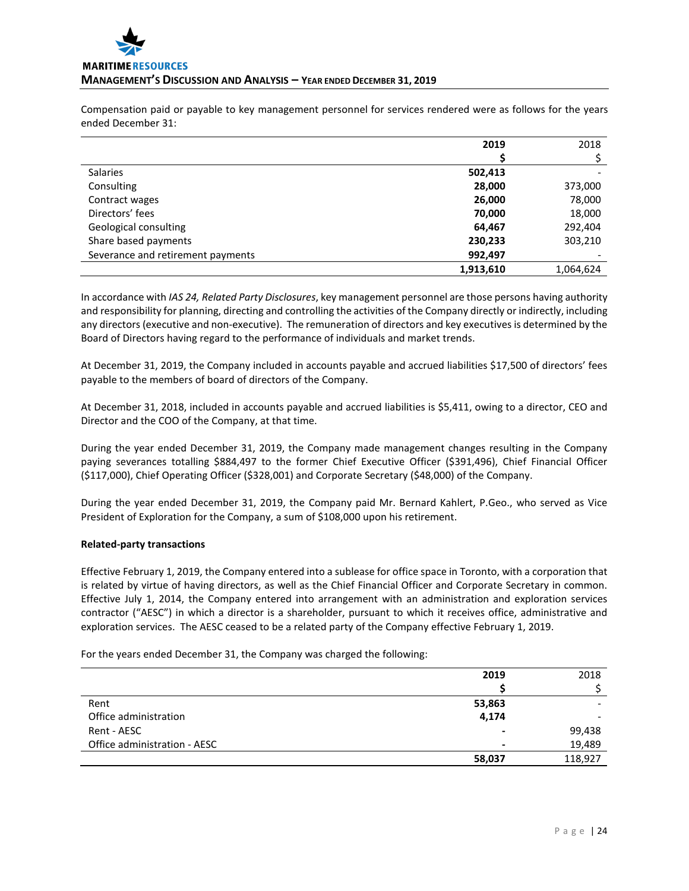

Compensation paid or payable to key management personnel for services rendered were as follows for the years ended December 31:

|                                   | 2019      | 2018      |
|-----------------------------------|-----------|-----------|
|                                   |           |           |
| <b>Salaries</b>                   | 502,413   |           |
| Consulting                        | 28,000    | 373,000   |
| Contract wages                    | 26,000    | 78,000    |
| Directors' fees                   | 70,000    | 18,000    |
| Geological consulting             | 64,467    | 292,404   |
| Share based payments              | 230,233   | 303,210   |
| Severance and retirement payments | 992,497   |           |
|                                   | 1,913,610 | 1,064,624 |

In accordance with *IAS 24, Related Party Disclosures*, key management personnel are those persons having authority and responsibility for planning, directing and controlling the activities of the Company directly or indirectly, including any directors (executive and non-executive). The remuneration of directors and key executives is determined by the Board of Directors having regard to the performance of individuals and market trends.

At December 31, 2019, the Company included in accounts payable and accrued liabilities \$17,500 of directors' fees payable to the members of board of directors of the Company.

At December 31, 2018, included in accounts payable and accrued liabilities is \$5,411, owing to a director, CEO and Director and the COO of the Company, at that time.

During the year ended December 31, 2019, the Company made management changes resulting in the Company paying severances totalling \$884,497 to the former Chief Executive Officer (\$391,496), Chief Financial Officer (\$117,000), Chief Operating Officer (\$328,001) and Corporate Secretary (\$48,000) of the Company.

During the year ended December 31, 2019, the Company paid Mr. Bernard Kahlert, P.Geo., who served as Vice President of Exploration for the Company, a sum of \$108,000 upon his retirement.

## **Related-party transactions**

Effective February 1, 2019, the Company entered into a sublease for office space in Toronto, with a corporation that is related by virtue of having directors, as well as the Chief Financial Officer and Corporate Secretary in common. Effective July 1, 2014, the Company entered into arrangement with an administration and exploration services contractor ("AESC") in which a director is a shareholder, pursuant to which it receives office, administrative and exploration services. The AESC ceased to be a related party of the Company effective February 1, 2019.

For the years ended December 31, the Company was charged the following:

|                              | 2019   | 2018    |
|------------------------------|--------|---------|
|                              |        |         |
| Rent                         | 53,863 |         |
| Office administration        | 4,174  | -       |
| Rent - AESC                  |        | 99,438  |
| Office administration - AESC | ۰      | 19,489  |
|                              | 58,037 | 118,927 |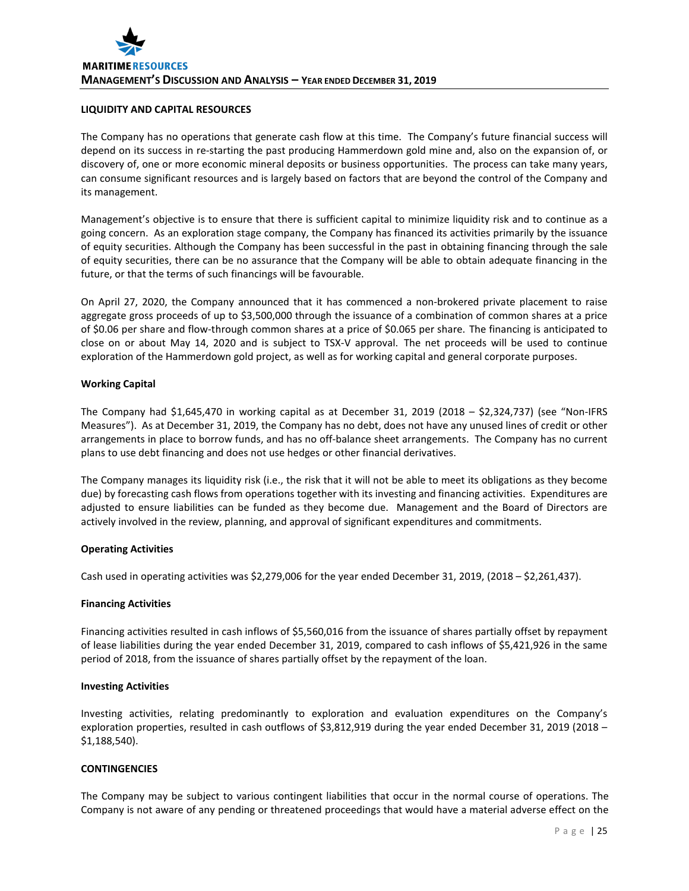## **LIQUIDITY AND CAPITAL RESOURCES**

The Company has no operations that generate cash flow at this time. The Company's future financial success will depend on its success in re-starting the past producing Hammerdown gold mine and, also on the expansion of, or discovery of, one or more economic mineral deposits or business opportunities. The process can take many years, can consume significant resources and is largely based on factors that are beyond the control of the Company and its management.

Management's objective is to ensure that there is sufficient capital to minimize liquidity risk and to continue as a going concern. As an exploration stage company, the Company has financed its activities primarily by the issuance of equity securities. Although the Company has been successful in the past in obtaining financing through the sale of equity securities, there can be no assurance that the Company will be able to obtain adequate financing in the future, or that the terms of such financings will be favourable.

On April 27, 2020, the Company announced that it has commenced a non-brokered private placement to raise aggregate gross proceeds of up to \$3,500,000 through the issuance of a combination of common shares at a price of \$0.06 per share and flow-through common shares at a price of \$0.065 per share. The financing is anticipated to close on or about May 14, 2020 and is subject to TSX-V approval. The net proceeds will be used to continue exploration of the Hammerdown gold project, as well as for working capital and general corporate purposes.

## **Working Capital**

The Company had \$1,645,470 in working capital as at December 31, 2019 (2018 – \$2,324,737) (see "Non-IFRS Measures"). As at December 31, 2019, the Company has no debt, does not have any unused lines of credit or other arrangements in place to borrow funds, and has no off-balance sheet arrangements. The Company has no current plans to use debt financing and does not use hedges or other financial derivatives.

The Company manages its liquidity risk (i.e., the risk that it will not be able to meet its obligations as they become due) by forecasting cash flows from operations together with its investing and financing activities. Expenditures are adjusted to ensure liabilities can be funded as they become due. Management and the Board of Directors are actively involved in the review, planning, and approval of significant expenditures and commitments.

## **Operating Activities**

Cash used in operating activities was \$2,279,006 for the year ended December 31, 2019, (2018 – \$2,261,437).

## **Financing Activities**

Financing activities resulted in cash inflows of \$5,560,016 from the issuance of shares partially offset by repayment of lease liabilities during the year ended December 31, 2019, compared to cash inflows of \$5,421,926 in the same period of 2018, from the issuance of shares partially offset by the repayment of the loan.

## **Investing Activities**

Investing activities, relating predominantly to exploration and evaluation expenditures on the Company's exploration properties, resulted in cash outflows of \$3,812,919 during the year ended December 31, 2019 (2018 – \$1,188,540).

## **CONTINGENCIES**

The Company may be subject to various contingent liabilities that occur in the normal course of operations. The Company is not aware of any pending or threatened proceedings that would have a material adverse effect on the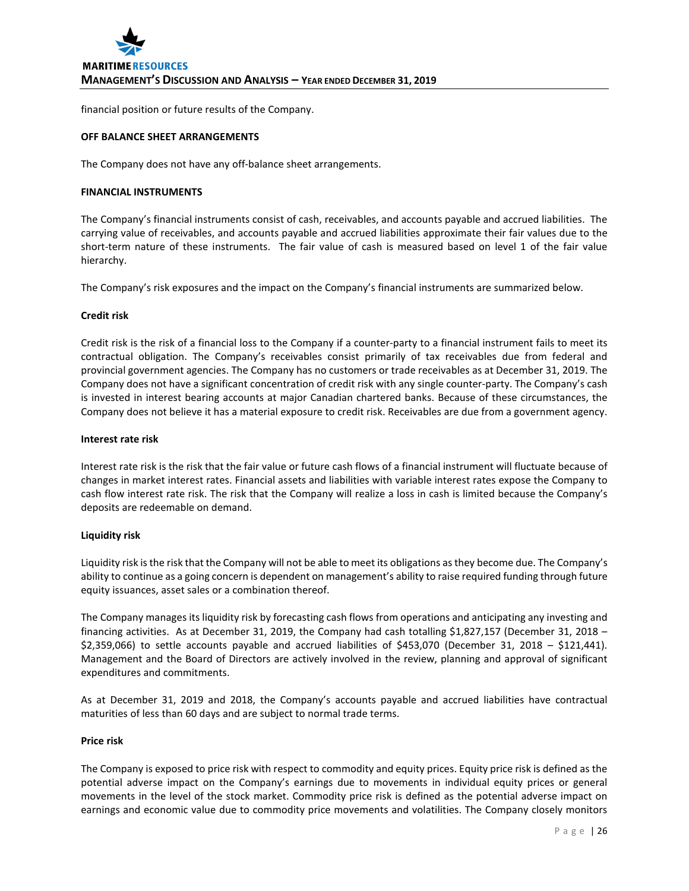financial position or future results of the Company.

# **OFF BALANCE SHEET ARRANGEMENTS**

The Company does not have any off-balance sheet arrangements.

## **FINANCIAL INSTRUMENTS**

The Company's financial instruments consist of cash, receivables, and accounts payable and accrued liabilities. The carrying value of receivables, and accounts payable and accrued liabilities approximate their fair values due to the short-term nature of these instruments. The fair value of cash is measured based on level 1 of the fair value hierarchy.

The Company's risk exposures and the impact on the Company's financial instruments are summarized below.

#### **Credit risk**

Credit risk is the risk of a financial loss to the Company if a counter-party to a financial instrument fails to meet its contractual obligation. The Company's receivables consist primarily of tax receivables due from federal and provincial government agencies. The Company has no customers or trade receivables as at December 31, 2019. The Company does not have a significant concentration of credit risk with any single counter-party. The Company's cash is invested in interest bearing accounts at major Canadian chartered banks. Because of these circumstances, the Company does not believe it has a material exposure to credit risk. Receivables are due from a government agency.

#### **Interest rate risk**

Interest rate risk is the risk that the fair value or future cash flows of a financial instrument will fluctuate because of changes in market interest rates. Financial assets and liabilities with variable interest rates expose the Company to cash flow interest rate risk. The risk that the Company will realize a loss in cash is limited because the Company's deposits are redeemable on demand.

## **Liquidity risk**

Liquidity risk is the risk that the Company will not be able to meet its obligations as they become due. The Company's ability to continue as a going concern is dependent on management's ability to raise required funding through future equity issuances, asset sales or a combination thereof.

The Company manages its liquidity risk by forecasting cash flows from operations and anticipating any investing and financing activities. As at December 31, 2019, the Company had cash totalling \$1,827,157 (December 31, 2018 – \$2,359,066) to settle accounts payable and accrued liabilities of \$453,070 (December 31, 2018 – \$121,441). Management and the Board of Directors are actively involved in the review, planning and approval of significant expenditures and commitments.

As at December 31, 2019 and 2018, the Company's accounts payable and accrued liabilities have contractual maturities of less than 60 days and are subject to normal trade terms.

# **Price risk**

The Company is exposed to price risk with respect to commodity and equity prices. Equity price risk is defined as the potential adverse impact on the Company's earnings due to movements in individual equity prices or general movements in the level of the stock market. Commodity price risk is defined as the potential adverse impact on earnings and economic value due to commodity price movements and volatilities. The Company closely monitors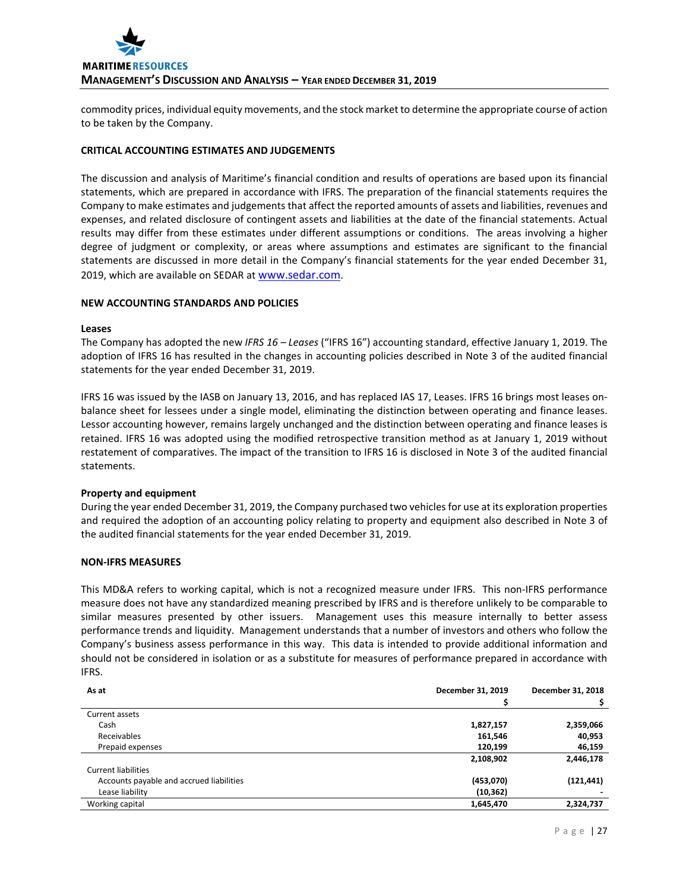commodity prices, individual equity movements, and the stock market to determine the appropriate course of action to be taken by the Company.

# **CRITICAL ACCOUNTING ESTIMATES AND JUDGEMENTS**

The discussion and analysis of Maritime's financial condition and results of operations are based upon its financial statements, which are prepared in accordance with IFRS. The preparation of the financial statements requires the Company to make estimates and judgements that affect the reported amounts of assets and liabilities, revenues and expenses, and related disclosure of contingent assets and liabilities at the date of the financial statements. Actual results may differ from these estimates under different assumptions or conditions. The areas involving a higher degree of judgment or complexity, or areas where assumptions and estimates are significant to the financial statements are discussed in more detail in the Company's financial statements for the year ended December 31, 2019, which are available on SEDAR at [www.sedar.com.](http://www.sedar.com/)

## **NEW ACCOUNTING STANDARDS AND POLICIES**

#### **Leases**

The Company has adopted the new *IFRS 16 – Leases* ("IFRS 16") accounting standard, effective January 1, 2019. The adoption of IFRS 16 has resulted in the changes in accounting policies described in Note 3 of the audited financial statements for the year ended December 31, 2019.

IFRS 16 was issued by the IASB on January 13, 2016, and has replaced IAS 17, Leases. IFRS 16 brings most leases onbalance sheet for lessees under a single model, eliminating the distinction between operating and finance leases. Lessor accounting however, remains largely unchanged and the distinction between operating and finance leases is retained. IFRS 16 was adopted using the modified retrospective transition method as at January 1, 2019 without restatement of comparatives. The impact of the transition to IFRS 16 is disclosed in Note 3 of the audited financial statements.

## **Property and equipment**

During the year ended December 31, 2019, the Company purchased two vehicles for use at its exploration properties and required the adoption of an accounting policy relating to property and equipment also described in Note 3 of the audited financial statements for the year ended December 31, 2019.

# **NON-IFRS MEASURES**

This MD&A refers to working capital, which is not a recognized measure under IFRS. This non-IFRS performance measure does not have any standardized meaning prescribed by IFRS and is therefore unlikely to be comparable to similar measures presented by other issuers. Management uses this measure internally to better assess performance trends and liquidity. Management understands that a number of investors and others who follow the Company's business assess performance in this way. This data is intended to provide additional information and should not be considered in isolation or as a substitute for measures of performance prepared in accordance with IFRS.

| As at                                    | December 31, 2019 | December 31, 2018 |  |
|------------------------------------------|-------------------|-------------------|--|
|                                          |                   |                   |  |
| Current assets                           |                   |                   |  |
| Cash                                     | 1,827,157         | 2,359,066         |  |
| Receivables                              | 161,546           | 40,953            |  |
| Prepaid expenses                         | 120,199           | 46,159            |  |
|                                          | 2,108,902         | 2,446,178         |  |
| Current liabilities                      |                   |                   |  |
| Accounts payable and accrued liabilities | (453,070)         | (121, 441)        |  |
| Lease liability                          | (10, 362)         |                   |  |
| Working capital                          | 1,645,470         | 2,324,737         |  |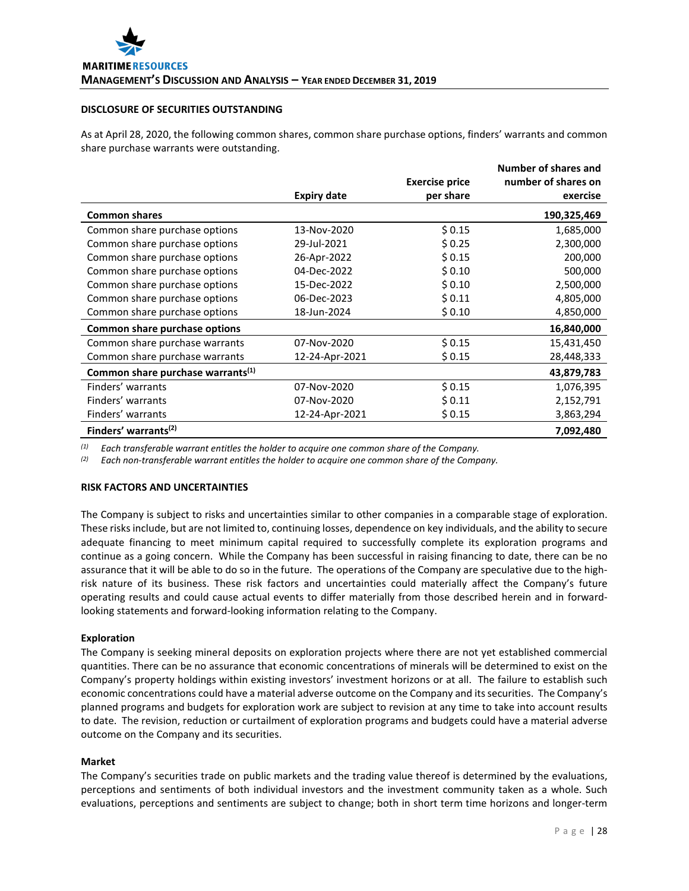#### **DISCLOSURE OF SECURITIES OUTSTANDING**

As at April 28, 2020, the following common shares, common share purchase options, finders' warrants and common share purchase warrants were outstanding.

|                                               |                    | <b>Exercise price</b> | <b>Number of shares and</b><br>number of shares on |
|-----------------------------------------------|--------------------|-----------------------|----------------------------------------------------|
|                                               | <b>Expiry date</b> | per share             | exercise                                           |
| <b>Common shares</b>                          |                    |                       | 190,325,469                                        |
| Common share purchase options                 | 13-Nov-2020        | \$0.15                | 1,685,000                                          |
| Common share purchase options                 | 29-Jul-2021        | \$0.25                | 2,300,000                                          |
| Common share purchase options                 | 26-Apr-2022        | \$0.15                | 200,000                                            |
| Common share purchase options                 | 04-Dec-2022        | \$0.10                | 500,000                                            |
| Common share purchase options                 | 15-Dec-2022        | \$0.10                | 2,500,000                                          |
| Common share purchase options                 | 06-Dec-2023        | \$0.11                | 4,805,000                                          |
| Common share purchase options                 | 18-Jun-2024        | \$0.10                | 4,850,000                                          |
| Common share purchase options                 |                    |                       | 16,840,000                                         |
| Common share purchase warrants                | 07-Nov-2020        | \$0.15                | 15,431,450                                         |
| Common share purchase warrants                | 12-24-Apr-2021     | \$0.15                | 28,448,333                                         |
| Common share purchase warrants <sup>(1)</sup> |                    |                       | 43,879,783                                         |
| Finders' warrants                             | 07-Nov-2020        | \$0.15                | 1,076,395                                          |
| Finders' warrants                             | 07-Nov-2020        | \$0.11                | 2,152,791                                          |
| Finders' warrants                             | 12-24-Apr-2021     | \$0.15                | 3,863,294                                          |
| Finders' warrants <sup>(2)</sup>              |                    |                       | 7,092,480                                          |

*(1) Each transferable warrant entitles the holder to acquire one common share of the Company.*

*(2) Each non-transferable warrant entitles the holder to acquire one common share of the Company.*

## **RISK FACTORS AND UNCERTAINTIES**

The Company is subject to risks and uncertainties similar to other companies in a comparable stage of exploration. These risks include, but are not limited to, continuing losses, dependence on key individuals, and the ability to secure adequate financing to meet minimum capital required to successfully complete its exploration programs and continue as a going concern. While the Company has been successful in raising financing to date, there can be no assurance that it will be able to do so in the future. The operations of the Company are speculative due to the highrisk nature of its business. These risk factors and uncertainties could materially affect the Company's future operating results and could cause actual events to differ materially from those described herein and in forwardlooking statements and forward-looking information relating to the Company.

## **Exploration**

The Company is seeking mineral deposits on exploration projects where there are not yet established commercial quantities. There can be no assurance that economic concentrations of minerals will be determined to exist on the Company's property holdings within existing investors' investment horizons or at all. The failure to establish such economic concentrations could have a material adverse outcome on the Company and its securities. The Company's planned programs and budgets for exploration work are subject to revision at any time to take into account results to date. The revision, reduction or curtailment of exploration programs and budgets could have a material adverse outcome on the Company and its securities.

#### **Market**

The Company's securities trade on public markets and the trading value thereof is determined by the evaluations, perceptions and sentiments of both individual investors and the investment community taken as a whole. Such evaluations, perceptions and sentiments are subject to change; both in short term time horizons and longer-term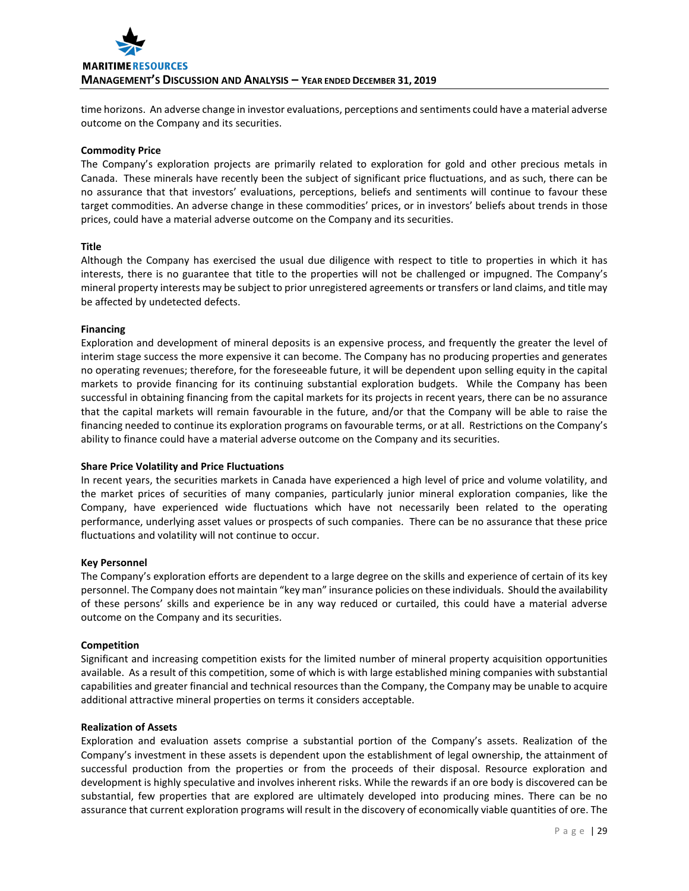

time horizons. An adverse change in investor evaluations, perceptions and sentiments could have a material adverse outcome on the Company and its securities.

#### **Commodity Price**

The Company's exploration projects are primarily related to exploration for gold and other precious metals in Canada. These minerals have recently been the subject of significant price fluctuations, and as such, there can be no assurance that that investors' evaluations, perceptions, beliefs and sentiments will continue to favour these target commodities. An adverse change in these commodities' prices, or in investors' beliefs about trends in those prices, could have a material adverse outcome on the Company and its securities.

## **Title**

Although the Company has exercised the usual due diligence with respect to title to properties in which it has interests, there is no guarantee that title to the properties will not be challenged or impugned. The Company's mineral property interests may be subject to prior unregistered agreements or transfers or land claims, and title may be affected by undetected defects.

#### **Financing**

Exploration and development of mineral deposits is an expensive process, and frequently the greater the level of interim stage success the more expensive it can become. The Company has no producing properties and generates no operating revenues; therefore, for the foreseeable future, it will be dependent upon selling equity in the capital markets to provide financing for its continuing substantial exploration budgets. While the Company has been successful in obtaining financing from the capital markets for its projects in recent years, there can be no assurance that the capital markets will remain favourable in the future, and/or that the Company will be able to raise the financing needed to continue its exploration programs on favourable terms, or at all. Restrictions on the Company's ability to finance could have a material adverse outcome on the Company and its securities.

## **Share Price Volatility and Price Fluctuations**

In recent years, the securities markets in Canada have experienced a high level of price and volume volatility, and the market prices of securities of many companies, particularly junior mineral exploration companies, like the Company, have experienced wide fluctuations which have not necessarily been related to the operating performance, underlying asset values or prospects of such companies. There can be no assurance that these price fluctuations and volatility will not continue to occur.

#### **Key Personnel**

The Company's exploration efforts are dependent to a large degree on the skills and experience of certain of its key personnel. The Company does not maintain "key man" insurance policies on these individuals. Should the availability of these persons' skills and experience be in any way reduced or curtailed, this could have a material adverse outcome on the Company and its securities.

#### **Competition**

Significant and increasing competition exists for the limited number of mineral property acquisition opportunities available. As a result of this competition, some of which is with large established mining companies with substantial capabilities and greater financial and technical resources than the Company, the Company may be unable to acquire additional attractive mineral properties on terms it considers acceptable.

#### **Realization of Assets**

Exploration and evaluation assets comprise a substantial portion of the Company's assets. Realization of the Company's investment in these assets is dependent upon the establishment of legal ownership, the attainment of successful production from the properties or from the proceeds of their disposal. Resource exploration and development is highly speculative and involves inherent risks. While the rewards if an ore body is discovered can be substantial, few properties that are explored are ultimately developed into producing mines. There can be no assurance that current exploration programs will result in the discovery of economically viable quantities of ore. The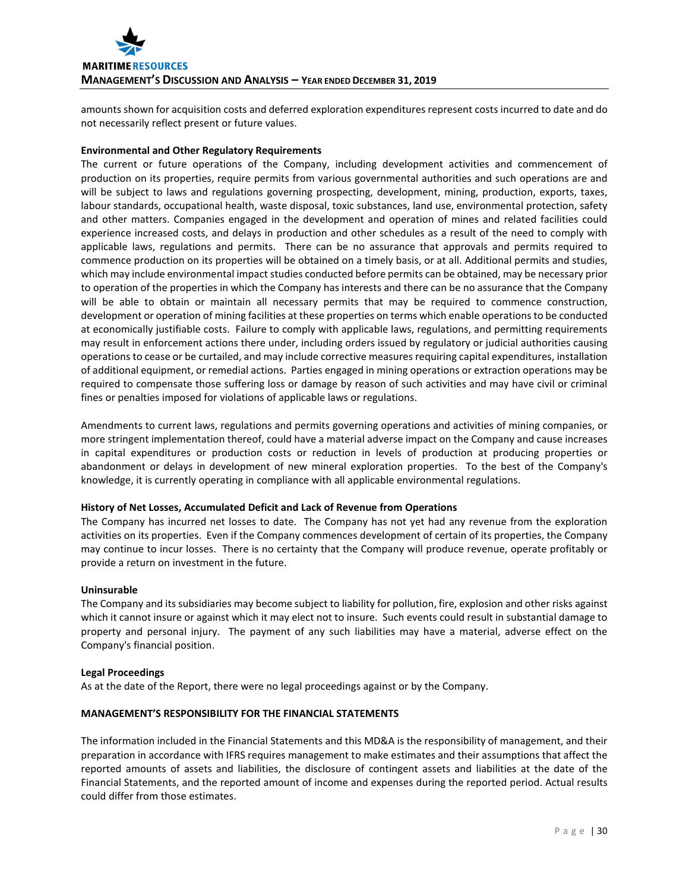

amounts shown for acquisition costs and deferred exploration expenditures represent costs incurred to date and do not necessarily reflect present or future values.

## **Environmental and Other Regulatory Requirements**

The current or future operations of the Company, including development activities and commencement of production on its properties, require permits from various governmental authorities and such operations are and will be subject to laws and regulations governing prospecting, development, mining, production, exports, taxes, labour standards, occupational health, waste disposal, toxic substances, land use, environmental protection, safety and other matters. Companies engaged in the development and operation of mines and related facilities could experience increased costs, and delays in production and other schedules as a result of the need to comply with applicable laws, regulations and permits. There can be no assurance that approvals and permits required to commence production on its properties will be obtained on a timely basis, or at all. Additional permits and studies, which may include environmental impact studies conducted before permits can be obtained, may be necessary prior to operation of the properties in which the Company has interests and there can be no assurance that the Company will be able to obtain or maintain all necessary permits that may be required to commence construction, development or operation of mining facilities at these properties on terms which enable operations to be conducted at economically justifiable costs. Failure to comply with applicable laws, regulations, and permitting requirements may result in enforcement actions there under, including orders issued by regulatory or judicial authorities causing operations to cease or be curtailed, and may include corrective measures requiring capital expenditures, installation of additional equipment, or remedial actions. Parties engaged in mining operations or extraction operations may be required to compensate those suffering loss or damage by reason of such activities and may have civil or criminal fines or penalties imposed for violations of applicable laws or regulations.

Amendments to current laws, regulations and permits governing operations and activities of mining companies, or more stringent implementation thereof, could have a material adverse impact on the Company and cause increases in capital expenditures or production costs or reduction in levels of production at producing properties or abandonment or delays in development of new mineral exploration properties. To the best of the Company's knowledge, it is currently operating in compliance with all applicable environmental regulations.

## **History of Net Losses, Accumulated Deficit and Lack of Revenue from Operations**

The Company has incurred net losses to date. The Company has not yet had any revenue from the exploration activities on its properties. Even if the Company commences development of certain of its properties, the Company may continue to incur losses. There is no certainty that the Company will produce revenue, operate profitably or provide a return on investment in the future.

#### **Uninsurable**

The Company and its subsidiaries may become subject to liability for pollution, fire, explosion and other risks against which it cannot insure or against which it may elect not to insure. Such events could result in substantial damage to property and personal injury. The payment of any such liabilities may have a material, adverse effect on the Company's financial position.

#### **Legal Proceedings**

As at the date of the Report, there were no legal proceedings against or by the Company.

## **MANAGEMENT'S RESPONSIBILITY FOR THE FINANCIAL STATEMENTS**

The information included in the Financial Statements and this MD&A is the responsibility of management, and their preparation in accordance with IFRS requires management to make estimates and their assumptions that affect the reported amounts of assets and liabilities, the disclosure of contingent assets and liabilities at the date of the Financial Statements, and the reported amount of income and expenses during the reported period. Actual results could differ from those estimates.